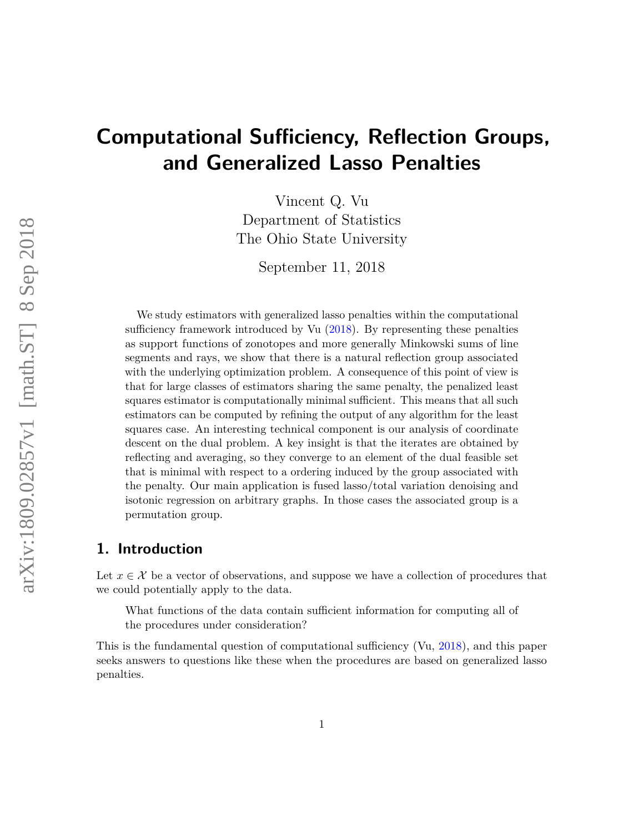# **Computational Sufficiency, Reflection Groups, and Generalized Lasso Penalties**

Vincent Q. Vu Department of Statistics The Ohio State University

September 11, 2018

We study estimators with generalized lasso penalties within the computational sufficiency framework introduced by Vu [\(2018\)](#page-26-0). By representing these penalties as support functions of zonotopes and more generally Minkowski sums of line segments and rays, we show that there is a natural reflection group associated with the underlying optimization problem. A consequence of this point of view is that for large classes of estimators sharing the same penalty, the penalized least squares estimator is computationally minimal sufficient. This means that all such estimators can be computed by refining the output of any algorithm for the least squares case. An interesting technical component is our analysis of coordinate descent on the dual problem. A key insight is that the iterates are obtained by reflecting and averaging, so they converge to an element of the dual feasible set that is minimal with respect to a ordering induced by the group associated with the penalty. Our main application is fused lasso/total variation denoising and isotonic regression on arbitrary graphs. In those cases the associated group is a permutation group.

### **1. Introduction**

Let  $x \in \mathcal{X}$  be a vector of observations, and suppose we have a collection of procedures that we could potentially apply to the data.

What functions of the data contain sufficient information for computing all of the procedures under consideration?

This is the fundamental question of computational sufficiency (Vu, [2018\)](#page-26-0), and this paper seeks answers to questions like these when the procedures are based on generalized lasso penalties.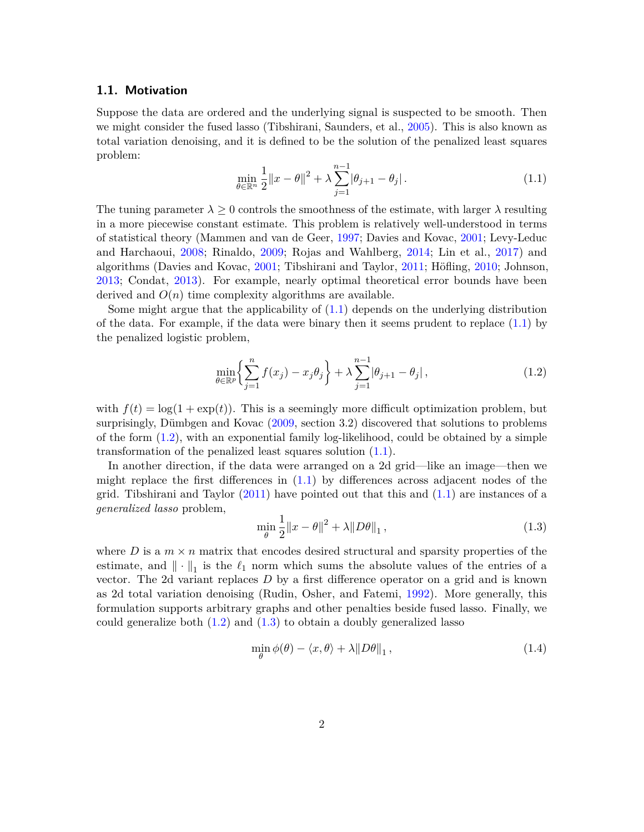#### **1.1. Motivation**

<span id="page-1-0"></span>Suppose the data are ordered and the underlying signal is suspected to be smooth. Then we might consider the fused lasso (Tibshirani, Saunders, et al., [2005\)](#page-26-1). This is also known as total variation denoising, and it is defined to be the solution of the penalized least squares problem:

$$
\min_{\theta \in \mathbb{R}^n} \frac{1}{2} \|x - \theta\|^2 + \lambda \sum_{j=1}^{n-1} |\theta_{j+1} - \theta_j|.
$$
 (1.1)

The tuning parameter  $\lambda \geq 0$  controls the smoothness of the estimate, with larger  $\lambda$  resulting in a more piecewise constant estimate. This problem is relatively well-understood in terms of statistical theory (Mammen and van de Geer, [1997;](#page-26-2) Davies and Kovac, [2001;](#page-24-0) Levy-Leduc and Harchaoui, [2008;](#page-25-0) Rinaldo, [2009;](#page-26-3) Rojas and Wahlberg, [2014;](#page-26-4) Lin et al., [2017\)](#page-25-1) and algorithms (Davies and Kovac, [2001;](#page-24-0) Tibshirani and Taylor, [2011;](#page-26-5) Höfling, [2010;](#page-25-2) Johnson, [2013;](#page-25-3) Condat, [2013\)](#page-24-1). For example, nearly optimal theoretical error bounds have been derived and  $O(n)$  time complexity algorithms are available.

Some might argue that the applicability of [\(1.1\)](#page-1-0) depends on the underlying distribution of the data. For example, if the data were binary then it seems prudent to replace  $(1.1)$  by the penalized logistic problem,

<span id="page-1-1"></span>
$$
\min_{\theta \in \mathbb{R}^p} \left\{ \sum_{j=1}^n f(x_j) - x_j \theta_j \right\} + \lambda \sum_{j=1}^{n-1} |\theta_{j+1} - \theta_j|, \tag{1.2}
$$

with  $f(t) = \log(1 + \exp(t))$ . This is a seemingly more difficult optimization problem, but surprisingly, Dümbgen and Kovac [\(2009,](#page-24-2) section 3.2) discovered that solutions to problems of the form  $(1.2)$ , with an exponential family log-likelihood, could be obtained by a simple transformation of the penalized least squares solution  $(1.1)$ .

In another direction, if the data were arranged on a 2d grid—like an image—then we might replace the first differences in  $(1.1)$  by differences across adjacent nodes of the grid. Tibshirani and Taylor  $(2011)$  have pointed out that this and  $(1.1)$  are instances of a *generalized lasso* problem,

<span id="page-1-2"></span>
$$
\min_{\theta} \frac{1}{2} \|x - \theta\|^2 + \lambda \|D\theta\|_1, \tag{1.3}
$$

where *D* is a  $m \times n$  matrix that encodes desired structural and sparsity properties of the estimate, and  $\|\cdot\|_1$  is the  $\ell_1$  norm which sums the absolute values of the entries of a vector. The 2d variant replaces *D* by a first difference operator on a grid and is known as 2d total variation denoising (Rudin, Osher, and Fatemi, [1992\)](#page-26-6). More generally, this formulation supports arbitrary graphs and other penalties beside fused lasso. Finally, we could generalize both  $(1.2)$  and  $(1.3)$  to obtain a doubly generalized lasso

<span id="page-1-3"></span>
$$
\min_{\theta} \phi(\theta) - \langle x, \theta \rangle + \lambda \| D\theta \|_1, \qquad (1.4)
$$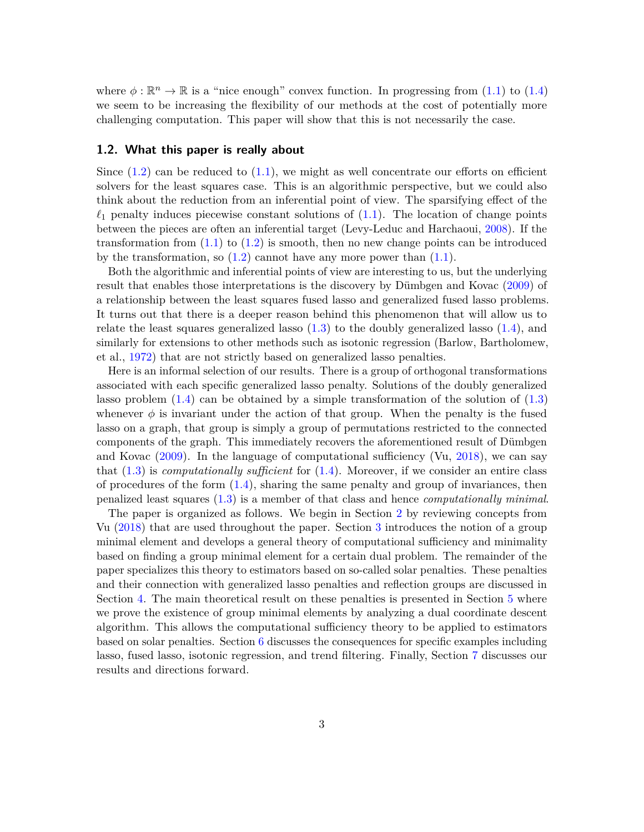where  $\phi : \mathbb{R}^n \to \mathbb{R}$  is a "nice enough" convex function. In progressing from [\(1.1\)](#page-1-0) to [\(1.4\)](#page-1-3) we seem to be increasing the flexibility of our methods at the cost of potentially more challenging computation. This paper will show that this is not necessarily the case.

#### **1.2. What this paper is really about**

Since  $(1.2)$  can be reduced to  $(1.1)$ , we might as well concentrate our efforts on efficient solvers for the least squares case. This is an algorithmic perspective, but we could also think about the reduction from an inferential point of view. The sparsifying effect of the  $\ell_1$  penalty induces piecewise constant solutions of [\(1.1\)](#page-1-0). The location of change points between the pieces are often an inferential target (Levy-Leduc and Harchaoui, [2008\)](#page-25-0). If the transformation from  $(1.1)$  to  $(1.2)$  is smooth, then no new change points can be introduced by the transformation, so  $(1.2)$  cannot have any more power than  $(1.1)$ .

Both the algorithmic and inferential points of view are interesting to us, but the underlying result that enables those interpretations is the discovery by Dümbgen and Kovac [\(2009\)](#page-24-2) of a relationship between the least squares fused lasso and generalized fused lasso problems. It turns out that there is a deeper reason behind this phenomenon that will allow us to relate the least squares generalized lasso  $(1.3)$  to the doubly generalized lasso  $(1.4)$ , and similarly for extensions to other methods such as isotonic regression (Barlow, Bartholomew, et al., [1972\)](#page-24-3) that are not strictly based on generalized lasso penalties.

Here is an informal selection of our results. There is a group of orthogonal transformations associated with each specific generalized lasso penalty. Solutions of the doubly generalized lasso problem  $(1.4)$  can be obtained by a simple transformation of the solution of  $(1.3)$ whenever  $\phi$  is invariant under the action of that group. When the penalty is the fused lasso on a graph, that group is simply a group of permutations restricted to the connected components of the graph. This immediately recovers the aforementioned result of Dümbgen and Kovac [\(2009\)](#page-24-2). In the language of computational sufficiency (Vu, [2018\)](#page-26-0), we can say that [\(1.3\)](#page-1-2) is *computationally sufficient* for [\(1.4\)](#page-1-3). Moreover, if we consider an entire class of procedures of the form  $(1.4)$ , sharing the same penalty and group of invariances, then penalized least squares [\(1.3\)](#page-1-2) is a member of that class and hence *computationally minimal*.

The paper is organized as follows. We begin in Section [2](#page-3-0) by reviewing concepts from Vu [\(2018\)](#page-26-0) that are used throughout the paper. Section [3](#page-5-0) introduces the notion of a group minimal element and develops a general theory of computational sufficiency and minimality based on finding a group minimal element for a certain dual problem. The remainder of the paper specializes this theory to estimators based on so-called solar penalties. These penalties and their connection with generalized lasso penalties and reflection groups are discussed in Section [4.](#page-8-0) The main theoretical result on these penalties is presented in Section [5](#page-13-0) where we prove the existence of group minimal elements by analyzing a dual coordinate descent algorithm. This allows the computational sufficiency theory to be applied to estimators based on solar penalties. Section [6](#page-15-0) discusses the consequences for specific examples including lasso, fused lasso, isotonic regression, and trend filtering. Finally, Section [7](#page-20-0) discusses our results and directions forward.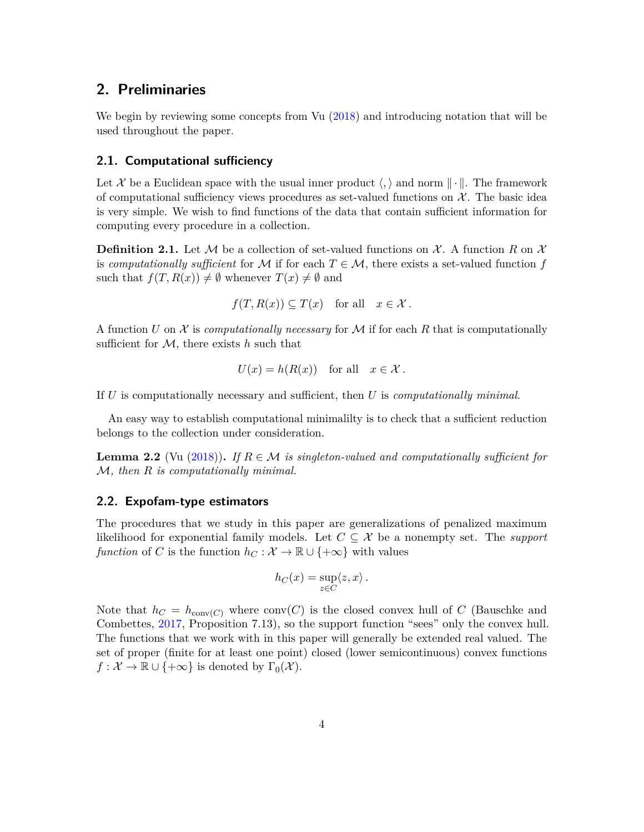### <span id="page-3-0"></span>**2. Preliminaries**

We begin by reviewing some concepts from Vu [\(2018\)](#page-26-0) and introducing notation that will be used throughout the paper.

### **2.1. Computational sufficiency**

Let X be a Euclidean space with the usual inner product  $\langle , \rangle$  and norm  $\| \cdot \|$ . The framework of computational sufficiency views procedures as set-valued functions on  $\mathcal{X}$ . The basic idea is very simple. We wish to find functions of the data that contain sufficient information for computing every procedure in a collection.

**Definition 2.1.** Let M be a collection of set-valued functions on X. A function R on X is *computationally sufficient* for M if for each  $T \in \mathcal{M}$ , there exists a set-valued function f such that  $f(T, R(x)) \neq \emptyset$  whenever  $T(x) \neq \emptyset$  and

$$
f(T, R(x)) \subseteq T(x)
$$
 for all  $x \in \mathcal{X}$ .

A function *U* on X is *computationally necessary* for M if for each R that is computationally sufficient for M, there exists *h* such that

$$
U(x) = h(R(x)) \quad \text{for all} \quad x \in \mathcal{X} \, .
$$

If *U* is computationally necessary and sufficient, then *U* is *computationally minimal*.

An easy way to establish computational minimalilty is to check that a sufficient reduction belongs to the collection under consideration.

**Lemma 2.2** (Vu [\(2018\)](#page-26-0)). If  $R \in \mathcal{M}$  is singleton-valued and computationally sufficient for M*, then R is computationally minimal.*

#### **2.2. Expofam-type estimators**

The procedures that we study in this paper are generalizations of penalized maximum likelihood for exponential family models. Let  $C \subseteq \mathcal{X}$  be a nonempty set. The *support function* of *C* is the function  $h_C : \mathcal{X} \to \mathbb{R} \cup \{+\infty\}$  with values

$$
h_C(x) = \sup_{z \in C} \langle z, x \rangle \, .
$$

Note that  $h_C = h_{conv(C)}$  where conv $(C)$  is the closed convex hull of C (Bauschke and Combettes, [2017,](#page-24-4) Proposition 7.13), so the support function "sees" only the convex hull. The functions that we work with in this paper will generally be extended real valued. The set of proper (finite for at least one point) closed (lower semicontinuous) convex functions  $f: \mathcal{X} \to \mathbb{R} \cup \{+\infty\}$  is denoted by  $\Gamma_0(\mathcal{X})$ .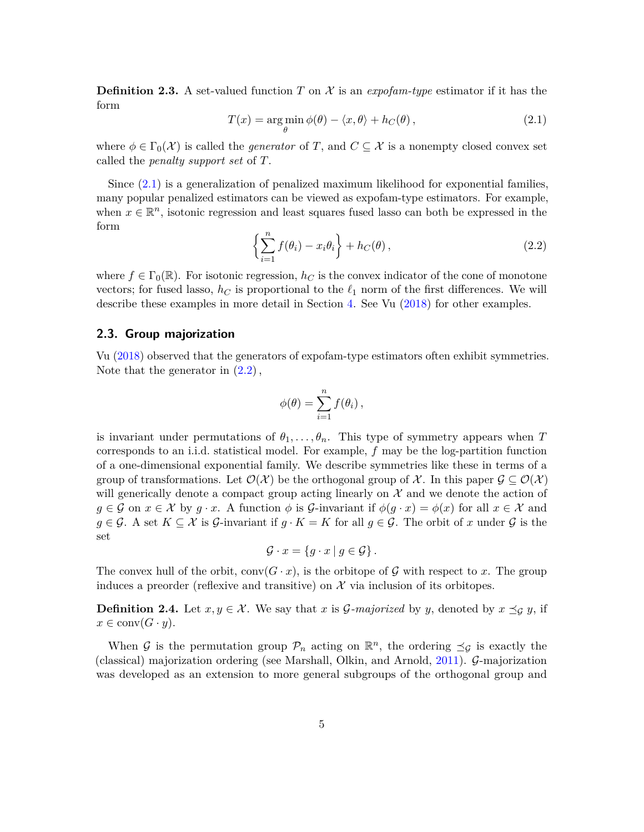<span id="page-4-0"></span>**Definition 2.3.** A set-valued function *T* on  $\mathcal{X}$  is an *expofam-type* estimator if it has the form

$$
T(x) = \underset{\theta}{\arg\min} \phi(\theta) - \langle x, \theta \rangle + h_C(\theta), \qquad (2.1)
$$

where  $\phi \in \Gamma_0(\mathcal{X})$  is called the *generator* of *T*, and  $C \subseteq \mathcal{X}$  is a nonempty closed convex set called the *penalty support set* of *T*.

<span id="page-4-1"></span>Since [\(2.1\)](#page-4-0) is a generalization of penalized maximum likelihood for exponential families, many popular penalized estimators can be viewed as expofam-type estimators. For example, when  $x \in \mathbb{R}^n$ , isotonic regression and least squares fused lasso can both be expressed in the form

$$
\left\{\sum_{i=1}^{n} f(\theta_i) - x_i \theta_i\right\} + h_C(\theta),\tag{2.2}
$$

where  $f \in \Gamma_0(\mathbb{R})$ . For isotonic regression,  $h_C$  is the convex indicator of the cone of monotone vectors; for fused lasso,  $h_C$  is proportional to the  $\ell_1$  norm of the first differences. We will describe these examples in more detail in Section [4.](#page-8-0) See Vu [\(2018\)](#page-26-0) for other examples.

#### **2.3. Group majorization**

Vu [\(2018\)](#page-26-0) observed that the generators of expofam-type estimators often exhibit symmetries. Note that the generator in  $(2.2)$ ,

$$
\phi(\theta) = \sum_{i=1}^n f(\theta_i),
$$

is invariant under permutations of  $\theta_1, \ldots, \theta_n$ . This type of symmetry appears when *T* corresponds to an i.i.d. statistical model. For example, *f* may be the log-partition function of a one-dimensional exponential family. We describe symmetries like these in terms of a group of transformations. Let  $\mathcal{O}(\mathcal{X})$  be the orthogonal group of X. In this paper  $\mathcal{G} \subseteq \mathcal{O}(\mathcal{X})$ will generically denote a compact group acting linearly on  $\mathcal X$  and we denote the action of  $g \in \mathcal{G}$  on  $x \in \mathcal{X}$  by  $g \cdot x$ . A function  $\phi$  is  $\mathcal{G}\text{-invariant if }\phi(g \cdot x) = \phi(x)$  for all  $x \in \mathcal{X}$  and *g* ∈ G. A set  $K ⊆ X$  is G-invariant if  $g \cdot K = K$  for all  $g ∈ G$ . The orbit of *x* under G is the set

$$
\mathcal{G} \cdot x = \{ g \cdot x \mid g \in \mathcal{G} \}.
$$

The convex hull of the orbit,  $conv(G \cdot x)$ , is the orbitope of G with respect to x. The group induces a preorder (reflexive and transitive) on  $\mathcal X$  via inclusion of its orbitopes.

**Definition 2.4.** Let  $x, y \in \mathcal{X}$ . We say that *x* is *G*-majorized by *y*, denoted by  $x \preceq_{\mathcal{G}} y$ , if  $x \in \text{conv}(G \cdot y)$ .

When G is the permutation group  $\mathcal{P}_n$  acting on  $\mathbb{R}^n$ , the ordering  $\preceq_{\mathcal{G}}$  is exactly the (classical) majorization ordering (see Marshall, Olkin, and Arnold, [2011\)](#page-26-7). G-majorization was developed as an extension to more general subgroups of the orthogonal group and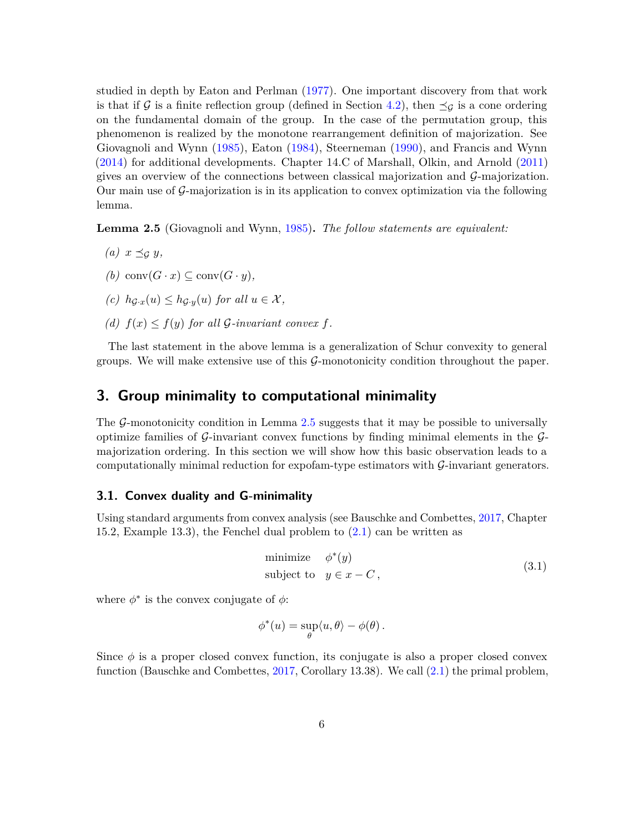studied in depth by Eaton and Perlman [\(1977\)](#page-25-4). One important discovery from that work is that if G is a finite reflection group (defined in Section [4.2\)](#page-12-0), then  $\preceq_G$  is a cone ordering on the fundamental domain of the group. In the case of the permutation group, this phenomenon is realized by the monotone rearrangement definition of majorization. See Giovagnoli and Wynn [\(1985\)](#page-25-5), Eaton [\(1984\)](#page-24-5), Steerneman [\(1990\)](#page-26-8), and Francis and Wynn [\(2014\)](#page-25-6) for additional developments. Chapter 14.C of Marshall, Olkin, and Arnold [\(2011\)](#page-26-7) gives an overview of the connections between classical majorization and  $\mathcal{G}_{\text{-}}$  majorization. Our main use of  $\mathcal{G}$ -majorization is in its application to convex optimization via the following lemma.

<span id="page-5-1"></span>**Lemma 2.5** (Giovagnoli and Wynn, [1985\)](#page-25-5)**.** *The follow statements are equivalent:*

- *(a)*  $x \preceq_G y$ ,
- *(b)* conv $(G \cdot x) \subseteq \text{conv}(G \cdot y)$ ,
- $(c)$   $h_{\mathcal{G}_{\cdot}x}(u) \leq h_{\mathcal{G}_{\cdot}y}(u)$  *for all*  $u \in \mathcal{X}$ *,*
- *(d)*  $f(x) \leq f(y)$  *for all G*-*invariant convex f.*

The last statement in the above lemma is a generalization of Schur convexity to general groups. We will make extensive use of this  $\mathcal{G}$ -monotonicity condition throughout the paper.

### <span id="page-5-0"></span>**3. Group minimality to computational minimality**

The  $\mathcal{G}$ -monotonicity condition in Lemma [2.5](#page-5-1) suggests that it may be possible to universally optimize families of  $\mathcal G$ -invariant convex functions by finding minimal elements in the  $\mathcal G$ majorization ordering. In this section we will show how this basic observation leads to a computationally minimal reduction for expofam-type estimators with G-invariant generators.

### **3.1. Convex duality and G-minimality**

Using standard arguments from convex analysis (see Bauschke and Combettes, [2017,](#page-24-4) Chapter 15.2, Example 13.3), the Fenchel dual problem to [\(2.1\)](#page-4-0) can be written as

<span id="page-5-2"></span>minimize 
$$
\phi^*(y)
$$
  
subject to  $y \in x - C$ ,  $(3.1)$ 

where  $\phi^*$  is the convex conjugate of  $\phi$ :

$$
\phi^*(u) = \sup_{\theta} \langle u, \theta \rangle - \phi(\theta).
$$

Since  $\phi$  is a proper closed convex function, its conjugate is also a proper closed convex function (Bauschke and Combettes, [2017,](#page-24-4) Corollary 13.38). We call [\(2.1\)](#page-4-0) the primal problem,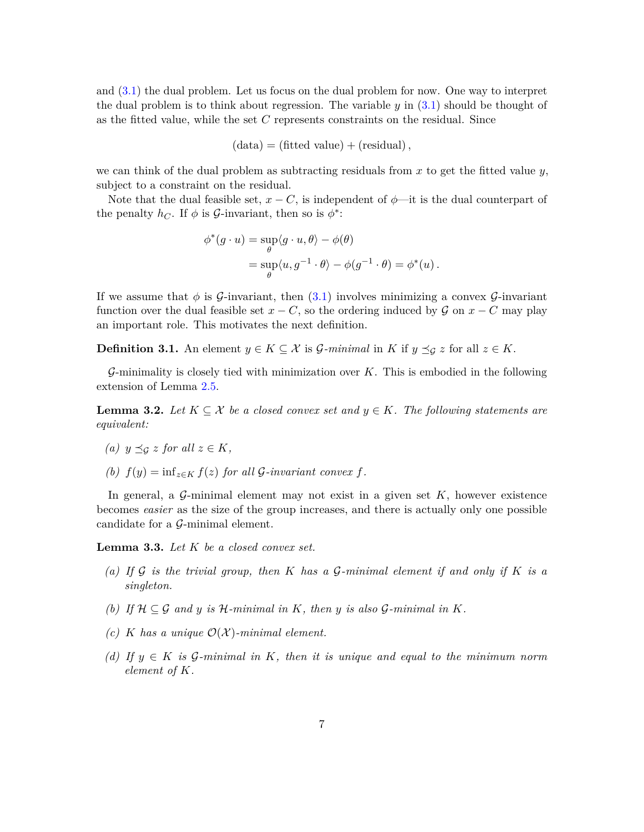and [\(3.1\)](#page-5-2) the dual problem. Let us focus on the dual problem for now. One way to interpret the dual problem is to think about regression. The variable  $y$  in  $(3.1)$  should be thought of as the fitted value, while the set *C* represents constraints on the residual. Since

$$
(data) = (fitted value) + (residual),
$$

we can think of the dual problem as subtracting residuals from *x* to get the fitted value *y*, subject to a constraint on the residual.

Note that the dual feasible set,  $x - C$ , is independent of  $\phi$ —it is the dual counterpart of the penalty  $h_C$ . If  $\phi$  is *G*-invariant, then so is  $\phi^*$ :

$$
\begin{aligned} \phi^*(g \cdot u) &= \sup_{\theta} \langle g \cdot u, \theta \rangle - \phi(\theta) \\ &= \sup_{\theta} \langle u, g^{-1} \cdot \theta \rangle - \phi(g^{-1} \cdot \theta) = \phi^*(u) \,. \end{aligned}
$$

If we assume that  $\phi$  is  $\mathcal{G}\text{-invariant}$ , then [\(3.1\)](#page-5-2) involves minimizing a convex  $\mathcal{G}\text{-invariant}$ function over the dual feasible set  $x - C$ , so the ordering induced by  $\mathcal G$  on  $x - C$  may play an important role. This motivates the next definition.

**Definition 3.1.** An element  $y \in K \subseteq \mathcal{X}$  is *G*-minimal in *K* if  $y \preceq_G z$  for all  $z \in K$ .

G-minimality is closely tied with minimization over *K*. This is embodied in the following extension of Lemma [2.5.](#page-5-1)

<span id="page-6-0"></span>**Lemma 3.2.** Let  $K \subseteq \mathcal{X}$  be a closed convex set and  $y \in K$ . The following statements are *equivalent:*

<span id="page-6-3"></span>(a) 
$$
y \preceq_{\mathcal{G}} z
$$
 for all  $z \in K$ ,

<span id="page-6-4"></span>*(b)*  $f(y) = \inf_{z \in K} f(z)$  *for all G-invariant convex f.* 

In general, a  $\mathcal{G}\text{-minimal element may not exist in a given set }K$ , however existence becomes *easier* as the size of the group increases, and there is actually only one possible candidate for a  $\mathcal{G}\text{-minimal element.}$ 

<span id="page-6-5"></span><span id="page-6-1"></span>**Lemma 3.3.** *Let K be a closed convex set.*

- *(a) If* G *is the trivial group, then K has a* G*-minimal element if and only if K is a singleton.*
- <span id="page-6-6"></span>*(b)* If  $H \subseteq G$  and *y* is  $H$ -minimal in *K*, then *y* is also  $G$ -minimal in *K*.
- <span id="page-6-7"></span>*(c) K* has a unique  $O(X)$ -minimal element.
- <span id="page-6-2"></span>*(d) If y* ∈ *K is* G*-minimal in K, then it is unique and equal to the minimum norm element of K.*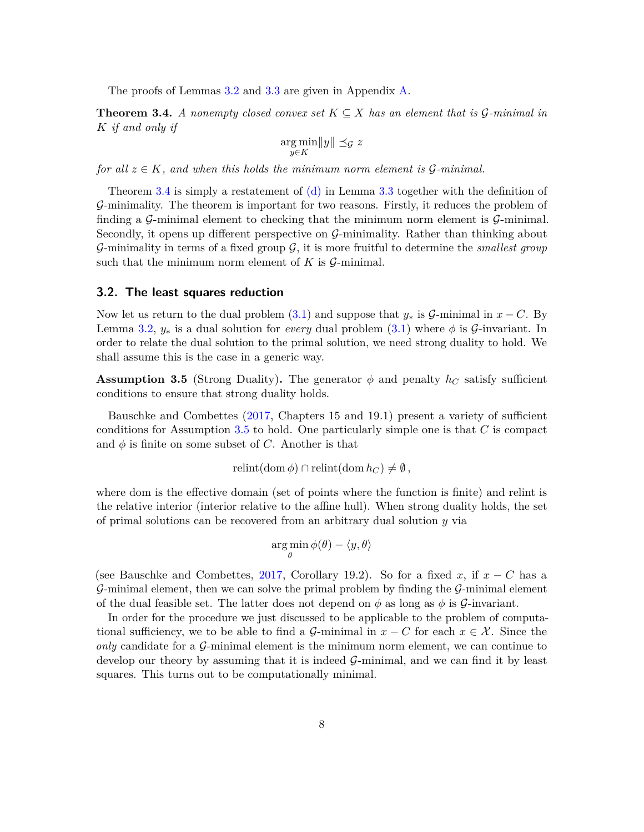The proofs of Lemmas [3.2](#page-6-0) and [3.3](#page-6-1) are given in Appendix [A.](#page-22-0)

<span id="page-7-0"></span>**Theorem 3.4.** *A nonempty closed convex set*  $K \subseteq X$  *has an element that is*  $\mathcal{G}\text{-minimal in}$ *K if and only if*

$$
\argmin_{y \in K} \|y\| \preceq_{\mathcal{G}} z
$$

*for all*  $z \in K$ *, and when this holds the minimum norm element is*  $\mathcal{G}\text{-minimal}$ .

Theorem [3.4](#page-7-0) is simply a restatement of  $(d)$  in Lemma [3.3](#page-6-1) together with the definition of G-minimality. The theorem is important for two reasons. Firstly, it reduces the problem of finding a  $\mathcal{G}\text{-minimal element}$  to checking that the minimum norm element is  $\mathcal{G}\text{-minimal}$ . Secondly, it opens up different perspective on  $\mathcal{G}\text{-minimality}$ . Rather than thinking about G-minimality in terms of a fixed group G, it is more fruitful to determine the *smallest group* such that the minimum norm element of  $K$  is  $\mathcal{G}\text{-minimal}$ .

#### **3.2. The least squares reduction**

Now let us return to the dual problem [\(3.1\)](#page-5-2) and suppose that  $y_*$  is  $\mathcal{G}\text{-minimal in } x - C$ . By Lemma [3.2,](#page-6-0)  $y_*$  is a dual solution for *every* dual problem  $(3.1)$  where  $\phi$  is  $\mathcal{G}\text{-invariant}$ . In order to relate the dual solution to the primal solution, we need strong duality to hold. We shall assume this is the case in a generic way.

<span id="page-7-1"></span>**Assumption 3.5** (Strong Duality). The generator  $\phi$  and penalty  $h_C$  satisfy sufficient conditions to ensure that strong duality holds.

Bauschke and Combettes [\(2017,](#page-24-4) Chapters 15 and 19.1) present a variety of sufficient conditions for Assumption [3.5](#page-7-1) to hold. One particularly simple one is that *C* is compact and  $\phi$  is finite on some subset of *C*. Another is that

$$
relint(\mathrm{dom}\,\phi)\cap\mathrm{relint}(\mathrm{dom}\,h_C)\neq\emptyset,
$$

where dom is the effective domain (set of points where the function is finite) and relint is the relative interior (interior relative to the affine hull). When strong duality holds, the set of primal solutions can be recovered from an arbitrary dual solution *y* via

$$
\argmin_{\theta} \phi(\theta) - \langle y, \theta \rangle
$$

(see Bauschke and Combettes, [2017,](#page-24-4) Corollary 19.2). So for a fixed x, if  $x - C$  has a G-minimal element, then we can solve the primal problem by finding the  $\mathcal{G}\text{-minimal element}$ of the dual feasible set. The latter does not depend on  $\phi$  as long as  $\phi$  is  $\mathcal{G}\text{-invariant.}$ 

<span id="page-7-2"></span>In order for the procedure we just discussed to be applicable to the problem of computational sufficiency, we to be able to find a  $\mathcal{G}\text{-minimal in }x - C$  for each  $x \in \mathcal{X}$ . Since the *only* candidate for a G-minimal element is the minimum norm element, we can continue to develop our theory by assuming that it is indeed  $\mathcal{G}\text{-minimal}$ , and we can find it by least squares. This turns out to be computationally minimal.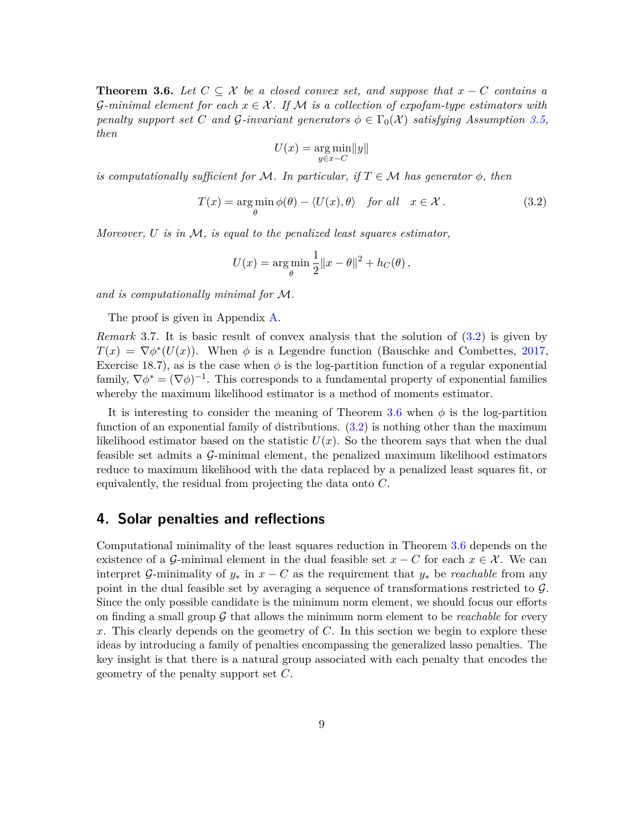**Theorem 3.6.** Let  $C \subseteq \mathcal{X}$  be a closed convex set, and suppose that  $x - C$  contains a G-minimal element for each  $x \in \mathcal{X}$ . If M is a collection of exportantly estimators with *penalty support set C and G-invariant generators*  $\phi \in \Gamma_0(\mathcal{X})$  *satisfying Assumption* [3.5,](#page-7-1) *then*

<span id="page-8-1"></span>
$$
U(x) = \underset{y \in x - C}{\arg \min} \|y\|
$$

*is computationally sufficient for* M. In particular, if  $T \in M$  has generator  $\phi$ , then

$$
T(x) = \arg\min_{\theta} \phi(\theta) - \langle U(x), \theta \rangle \quad \text{for all} \quad x \in \mathcal{X} \,.
$$
 (3.2)

*Moreover, U is in* M*, is equal to the penalized least squares estimator,*

$$
U(x) = \arg\min_{\theta} \frac{1}{2} ||x - \theta||^2 + h_C(\theta),
$$

*and is computationally minimal for* M*.*

The proof is given in Appendix [A.](#page-22-0)

*Remark* 3.7*.* It is basic result of convex analysis that the solution of [\(3.2\)](#page-8-1) is given by  $T(x) = \nabla \phi^*(U(x))$ . When  $\phi$  is a Legendre function (Bauschke and Combettes, [2017,](#page-24-4) Exercise 18.7), as is the case when  $\phi$  is the log-partition function of a regular exponential family,  $\nabla \phi^* = (\nabla \phi)^{-1}$ . This corresponds to a fundamental property of exponential families whereby the maximum likelihood estimator is a method of moments estimator.

It is interesting to consider the meaning of Theorem [3.6](#page-7-2) when  $\phi$  is the log-partition function of an exponential family of distributions. [\(3.2\)](#page-8-1) is nothing other than the maximum likelihood estimator based on the statistic  $U(x)$ . So the theorem says that when the dual feasible set admits a G-minimal element, the penalized maximum likelihood estimators reduce to maximum likelihood with the data replaced by a penalized least squares fit, or equivalently, the residual from projecting the data onto *C*.

## <span id="page-8-0"></span>**4. Solar penalties and reflections**

Computational minimality of the least squares reduction in Theorem [3.6](#page-7-2) depends on the existence of a G-minimal element in the dual feasible set  $x - C$  for each  $x \in \mathcal{X}$ . We can interpret G-minimality of  $y_*$  in  $x - C$  as the requirement that  $y_*$  be *reachable* from any point in the dual feasible set by averaging a sequence of transformations restricted to  $\mathcal{G}$ . Since the only possible candidate is the minimum norm element, we should focus our efforts on finding a small group  $\mathcal G$  that allows the minimum norm element to be *reachable* for every *x*. This clearly depends on the geometry of *C*. In this section we begin to explore these ideas by introducing a family of penalties encompassing the generalized lasso penalties. The key insight is that there is a natural group associated with each penalty that encodes the geometry of the penalty support set *C*.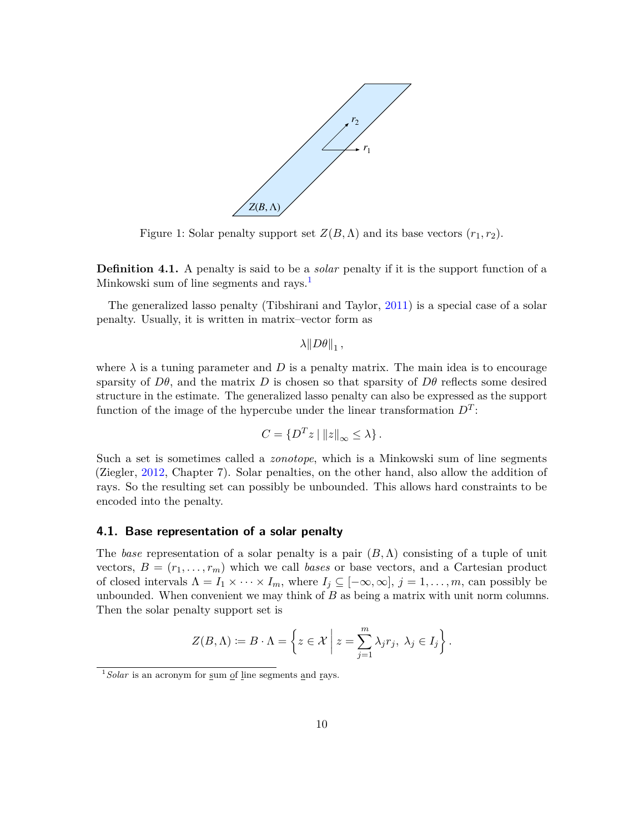<span id="page-9-1"></span>

Figure 1: Solar penalty support set  $Z(B,\Lambda)$  and its base vectors  $(r_1, r_2)$ .

**Definition 4.1.** A penalty is said to be a *solar* penalty if it is the support function of a Minkowski sum of line segments and rays.<sup>[1](#page-9-0)</sup>

The generalized lasso penalty (Tibshirani and Taylor, [2011\)](#page-26-5) is a special case of a solar penalty. Usually, it is written in matrix–vector form as

 $\lambda$ || $D\theta$ ||<sub>1</sub>,

where  $\lambda$  is a tuning parameter and  $D$  is a penalty matrix. The main idea is to encourage sparsity of  $D\theta$ , and the matrix *D* is chosen so that sparsity of  $D\theta$  reflects some desired structure in the estimate. The generalized lasso penalty can also be expressed as the support function of the image of the hypercube under the linear transformation  $D<sup>T</sup>$ :

$$
C = \{D^T z \mid ||z||_{\infty} \le \lambda\}.
$$

Such a set is sometimes called a *zonotope*, which is a Minkowski sum of line segments (Ziegler, [2012,](#page-27-0) Chapter 7). Solar penalties, on the other hand, also allow the addition of rays. So the resulting set can possibly be unbounded. This allows hard constraints to be encoded into the penalty.

### **4.1. Base representation of a solar penalty**

The *base* representation of a solar penalty is a pair  $(B, \Lambda)$  consisting of a tuple of unit vectors,  $B = (r_1, \ldots, r_m)$  which we call *bases* or base vectors, and a Cartesian product of closed intervals  $\Lambda = I_1 \times \cdots \times I_m$ , where  $I_j \subseteq [-\infty, \infty]$ ,  $j = 1, \ldots, m$ , can possibly be unbounded. When convenient we may think of *B* as being a matrix with unit norm columns. Then the solar penalty support set is

$$
Z(B,\Lambda) \coloneqq B \cdot \Lambda = \left\{ z \in \mathcal{X} \mid z = \sum_{j=1}^{m} \lambda_j r_j, \ \lambda_j \in I_j \right\}.
$$

<span id="page-9-0"></span><sup>&</sup>lt;sup>1</sup> Solar is an acronym for sum of line segments and rays.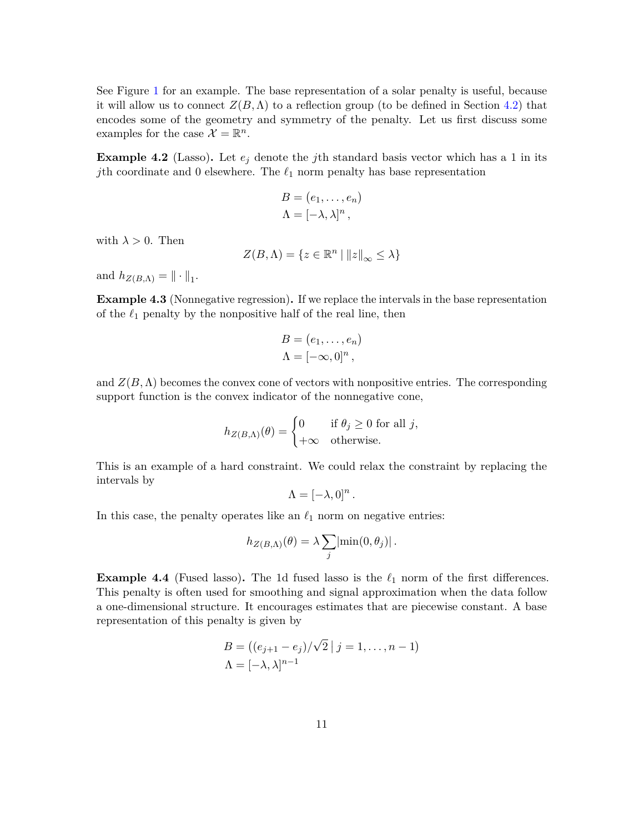See Figure [1](#page-9-1) for an example. The base representation of a solar penalty is useful, because it will allow us to connect  $Z(B,\Lambda)$  to a reflection group (to be defined in Section [4.2\)](#page-12-0) that encodes some of the geometry and symmetry of the penalty. Let us first discuss some examples for the case  $\mathcal{X} = \mathbb{R}^n$ .

**Example 4.2** (Lasso). Let  $e_j$  denote the *j*th standard basis vector which has a 1 in its *j*th coordinate and 0 elsewhere. The  $\ell_1$  norm penalty has base representation

$$
B = (e_1, \ldots, e_n)
$$
  

$$
\Lambda = [-\lambda, \lambda]^n,
$$

with  $\lambda > 0$ . Then

$$
Z(B,\Lambda)=\{z\in\mathbb{R}^n\mid ||z||_{\infty}\leq\lambda\}
$$

and  $h_{Z(B,\Lambda)} = \|\cdot\|_1$ .

**Example 4.3** (Nonnegative regression)**.** If we replace the intervals in the base representation of the  $\ell_1$  penalty by the nonpositive half of the real line, then

$$
B = (e_1, \ldots, e_n)
$$
  

$$
\Lambda = [-\infty, 0]^n,
$$

and  $Z(B,\Lambda)$  becomes the convex cone of vectors with nonpositive entries. The corresponding support function is the convex indicator of the nonnegative cone,

$$
h_{Z(B,\Lambda)}(\theta) = \begin{cases} 0 & \text{if } \theta_j \ge 0 \text{ for all } j, \\ +\infty & \text{otherwise.} \end{cases}
$$

This is an example of a hard constraint. We could relax the constraint by replacing the intervals by

$$
\Lambda = [-\lambda, 0]^n.
$$

In this case, the penalty operates like an  $\ell_1$  norm on negative entries:

$$
h_{Z(B,\Lambda)}(\theta) = \lambda \sum_j |\min(0,\theta_j)|.
$$

**Example 4.4** (Fused lasso). The 1d fused lasso is the  $\ell_1$  norm of the first differences. This penalty is often used for smoothing and signal approximation when the data follow a one-dimensional structure. It encourages estimates that are piecewise constant. A base representation of this penalty is given by

$$
B = ((e_{j+1} - e_j)/\sqrt{2} | j = 1, ..., n - 1)
$$
  
\n
$$
\Lambda = [-\lambda, \lambda]^{n-1}
$$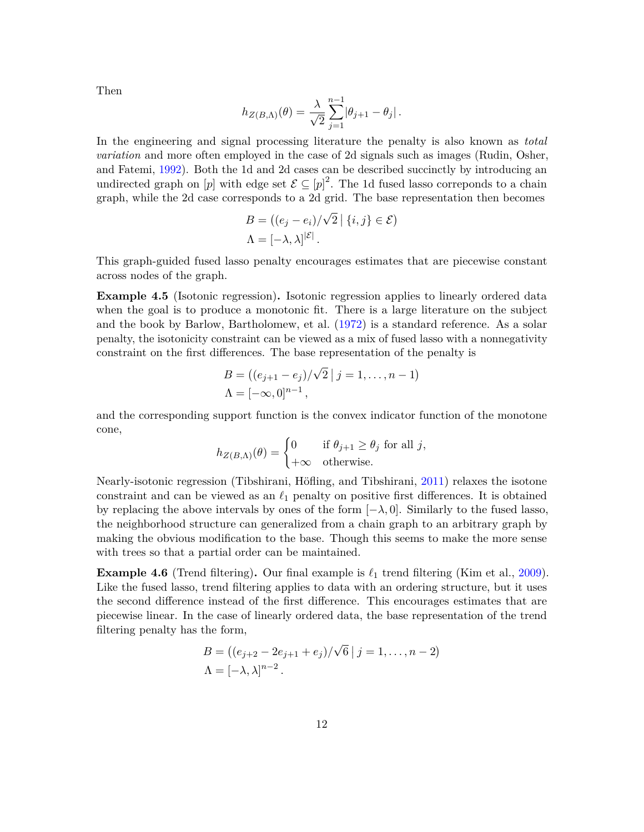Then

$$
h_{Z(B,\Lambda)}(\theta) = \frac{\lambda}{\sqrt{2}} \sum_{j=1}^{n-1} |\theta_{j+1} - \theta_j|.
$$

In the engineering and signal processing literature the penalty is also known as *total variation* and more often employed in the case of 2d signals such as images (Rudin, Osher, and Fatemi, [1992\)](#page-26-6). Both the 1d and 2d cases can be described succinctly by introducing an undirected graph on  $[p]$  with edge set  $\mathcal{E} \subseteq [p]^2$ . The 1d fused lasso correponds to a chain graph, while the 2d case corresponds to a 2d grid. The base representation then becomes

$$
B = ((e_j - e_i) / \sqrt{2} | \{i, j\} \in \mathcal{E})
$$
  

$$
\Lambda = [-\lambda, \lambda]^{|\mathcal{E}|}.
$$

This graph-guided fused lasso penalty encourages estimates that are piecewise constant across nodes of the graph.

**Example 4.5** (Isotonic regression)**.** Isotonic regression applies to linearly ordered data when the goal is to produce a monotonic fit. There is a large literature on the subject and the book by Barlow, Bartholomew, et al. [\(1972\)](#page-24-3) is a standard reference. As a solar penalty, the isotonicity constraint can be viewed as a mix of fused lasso with a nonnegativity constraint on the first differences. The base representation of the penalty is

$$
B = ((e_{j+1} - e_j)/\sqrt{2} | j = 1, ..., n-1)
$$
  
 
$$
\Lambda = [-\infty, 0]^{n-1},
$$

and the corresponding support function is the convex indicator function of the monotone cone,

$$
h_{Z(B,\Lambda)}(\theta) = \begin{cases} 0 & \text{if } \theta_{j+1} \ge \theta_j \text{ for all } j, \\ +\infty & \text{otherwise.} \end{cases}
$$

Nearly-isotonic regression (Tibshirani, Höfling, and Tibshirani, [2011\)](#page-26-9) relaxes the isotone constraint and can be viewed as an  $\ell_1$  penalty on positive first differences. It is obtained by replacing the above intervals by ones of the form  $[-\lambda, 0]$ . Similarly to the fused lasso, the neighborhood structure can generalized from a chain graph to an arbitrary graph by making the obvious modification to the base. Though this seems to make the more sense with trees so that a partial order can be maintained.

**Example 4.6** (Trend filtering). Our final example is  $\ell_1$  trend filtering (Kim et al., [2009\)](#page-25-7). Like the fused lasso, trend filtering applies to data with an ordering structure, but it uses the second difference instead of the first difference. This encourages estimates that are piecewise linear. In the case of linearly ordered data, the base representation of the trend filtering penalty has the form,

$$
B = ((e_{j+2} - 2e_{j+1} + e_j)/\sqrt{6} | j = 1, ..., n-2)
$$
  
 
$$
\Lambda = [-\lambda, \lambda]^{n-2}.
$$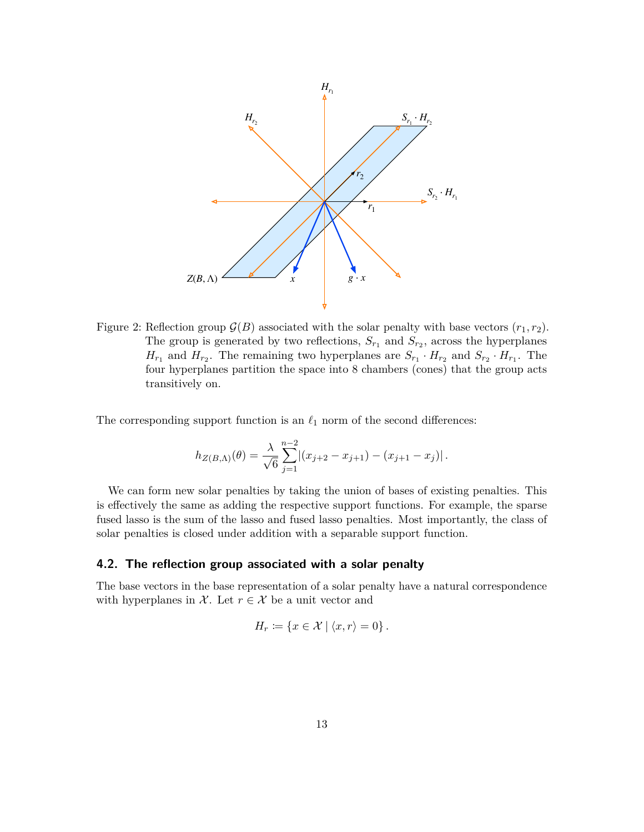<span id="page-12-1"></span>

Figure 2: Reflection group  $\mathcal{G}(B)$  associated with the solar penalty with base vectors  $(r_1, r_2)$ . The group is generated by two reflections,  $S_{r_1}$  and  $S_{r_2}$ , across the hyperplanes  $H_{r_1}$  and  $H_{r_2}$ . The remaining two hyperplanes are  $S_{r_1} \cdot H_{r_2}$  and  $S_{r_2} \cdot H_{r_1}$ . The four hyperplanes partition the space into 8 chambers (cones) that the group acts transitively on.

The corresponding support function is an  $\ell_1$  norm of the second differences:

$$
h_{Z(B,\Lambda)}(\theta) = \frac{\lambda}{\sqrt{6}} \sum_{j=1}^{n-2} |(x_{j+2} - x_{j+1}) - (x_{j+1} - x_j)|.
$$

We can form new solar penalties by taking the union of bases of existing penalties. This is effectively the same as adding the respective support functions. For example, the sparse fused lasso is the sum of the lasso and fused lasso penalties. Most importantly, the class of solar penalties is closed under addition with a separable support function.

### <span id="page-12-0"></span>**4.2. The reflection group associated with a solar penalty**

The base vectors in the base representation of a solar penalty have a natural correspondence with hyperplanes in  $\mathcal{X}$ . Let  $r \in \mathcal{X}$  be a unit vector and

$$
H_r \coloneqq \{ x \in \mathcal{X} \mid \langle x, r \rangle = 0 \}.
$$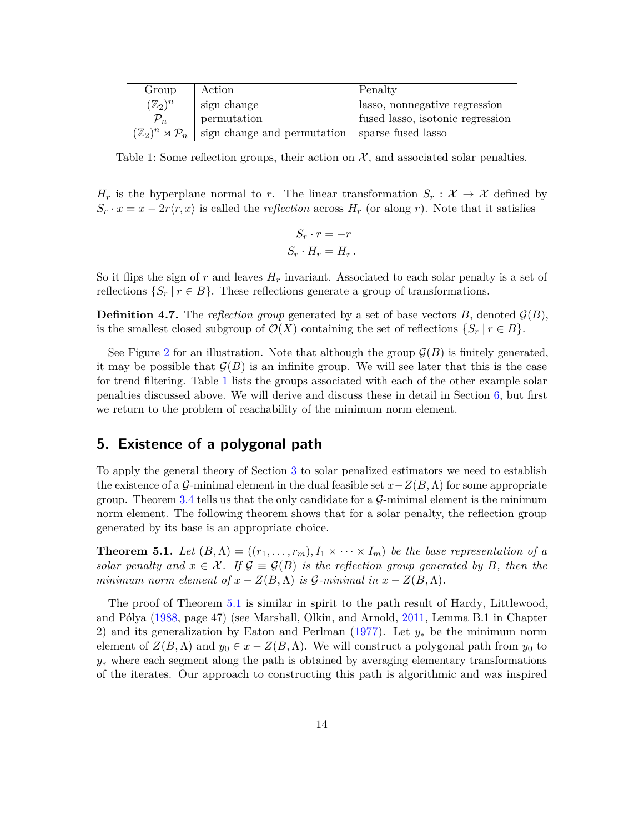<span id="page-13-1"></span>

| Group              | Action                                                                                  | Penalty                          |
|--------------------|-----------------------------------------------------------------------------------------|----------------------------------|
| $(\mathbb{Z}_2)^n$ | sign change                                                                             | lasso, nonnegative regression    |
| $\mathcal{P}_n$    | permutation                                                                             | fused lasso, isotonic regression |
|                    | $(\mathbb{Z}_2)^n \rtimes \mathcal{P}_n$ sign change and permutation sparse fused lasso |                                  |

Table 1: Some reflection groups, their action on  $X$ , and associated solar penalties.

*H<sub>r</sub>* is the hyperplane normal to *r*. The linear transformation  $S_r : \mathcal{X} \to \mathcal{X}$  defined by  $S_r \cdot x = x - 2r\langle r, x \rangle$  is called the *reflection* across  $H_r$  (or along *r*). Note that it satisfies

$$
S_r \cdot r = -r
$$

$$
S_r \cdot H_r = H_r.
$$

So it flips the sign of  $r$  and leaves  $H_r$  invariant. Associated to each solar penalty is a set of reflections  $\{S_r | r \in B\}$ . These reflections generate a group of transformations.

**Definition 4.7.** The *reflection group* generated by a set of base vectors  $B$ , denoted  $\mathcal{G}(B)$ , is the smallest closed subgroup of  $\mathcal{O}(X)$  containing the set of reflections  $\{S_r | r \in B\}$ .

See Figure [2](#page-12-1) for an illustration. Note that although the group  $\mathcal{G}(B)$  is finitely generated, it may be possible that  $\mathcal{G}(B)$  is an infinite group. We will see later that this is the case for trend filtering. Table [1](#page-13-1) lists the groups associated with each of the other example solar penalties discussed above. We will derive and discuss these in detail in Section [6,](#page-15-0) but first we return to the problem of reachability of the minimum norm element.

# <span id="page-13-0"></span>**5. Existence of a polygonal path**

To apply the general theory of Section [3](#page-5-0) to solar penalized estimators we need to establish the existence of a  $\mathcal{G}$ -minimal element in the dual feasible set  $x-Z(B,\Lambda)$  for some appropriate group. Theorem [3.4](#page-7-0) tells us that the only candidate for a  $\mathcal{G}\text{-minimal element}$  is the minimum norm element. The following theorem shows that for a solar penalty, the reflection group generated by its base is an appropriate choice.

<span id="page-13-2"></span>**Theorem 5.1.** Let  $(B, \Lambda) = ((r_1, \ldots, r_m), I_1 \times \cdots \times I_m)$  be the base representation of a *solar penalty and*  $x \in \mathcal{X}$ *. If*  $\mathcal{G} \equiv \mathcal{G}(B)$  *is the reflection group generated by B, then the minimum norm element of*  $x - Z(B, \Lambda)$  *is*  $\mathcal{G}\text{-minimal in } x - Z(B, \Lambda)$ .

The proof of Theorem [5.1](#page-13-2) is similar in spirit to the path result of Hardy, Littlewood, and Pólya [\(1988,](#page-25-8) page 47) (see Marshall, Olkin, and Arnold, [2011,](#page-26-7) Lemma B.1 in Chapter 2) and its generalization by Eaton and Perlman [\(1977\)](#page-25-4). Let *y*<sup>∗</sup> be the minimum norm element of  $Z(B,\Lambda)$  and  $y_0 \in x - Z(B,\Lambda)$ . We will construct a polygonal path from  $y_0$  to *y*<sup>∗</sup> where each segment along the path is obtained by averaging elementary transformations of the iterates. Our approach to constructing this path is algorithmic and was inspired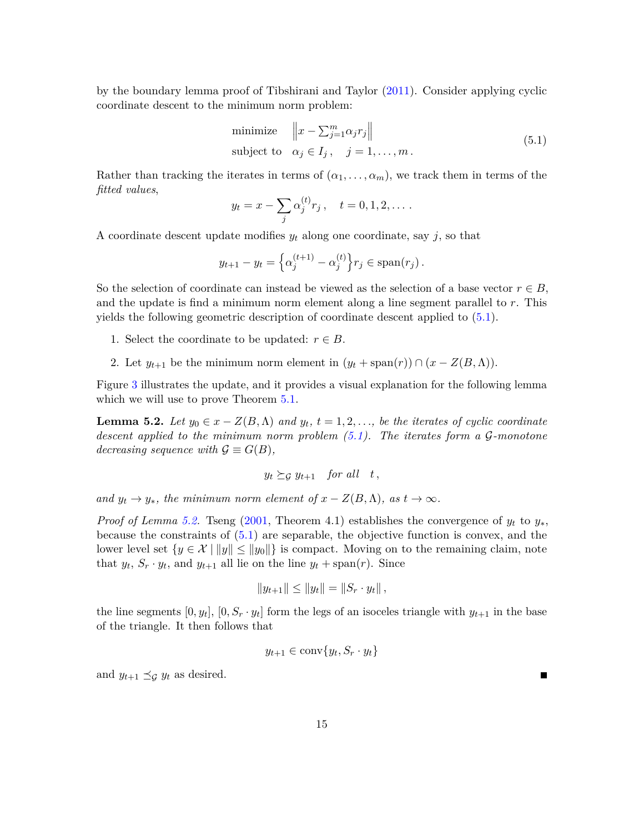by the boundary lemma proof of Tibshirani and Taylor [\(2011\)](#page-26-5). Consider applying cyclic coordinate descent to the minimum norm problem:

<span id="page-14-0"></span>minimize 
$$
\left\|x - \sum_{j=1}^{m} \alpha_j r_j\right\|
$$
  
subject to  $\alpha_j \in I_j$ ,  $j = 1,..., m$ . (5.1)

Rather than tracking the iterates in terms of  $(\alpha_1, \ldots, \alpha_m)$ , we track them in terms of the *fitted values*,

$$
y_t = x - \sum_j \alpha_j^{(t)} r_j
$$
,  $t = 0, 1, 2, ...$ 

A coordinate descent update modifies *y<sup>t</sup>* along one coordinate, say *j*, so that

$$
y_{t+1} - y_t = \left\{ \alpha_j^{(t+1)} - \alpha_j^{(t)} \right\} r_j \in \text{span}(r_j).
$$

So the selection of coordinate can instead be viewed as the selection of a base vector  $r \in B$ , and the update is find a minimum norm element along a line segment parallel to *r*. This yields the following geometric description of coordinate descent applied to [\(5.1\)](#page-14-0).

- 1. Select the coordinate to be updated:  $r \in B$ .
- 2. Let  $y_{t+1}$  be the minimum norm element in  $(y_t + \text{span}(r)) \cap (x Z(B, \Lambda)).$

Figure [3](#page-15-1) illustrates the update, and it provides a visual explanation for the following lemma which we will use to prove Theorem  $5.1$ .

<span id="page-14-1"></span>**Lemma 5.2.** *Let*  $y_0 \in x - Z(B, \Lambda)$  *and*  $y_t$ ,  $t = 1, 2, \ldots$ , *be the iterates of cyclic coordinate descent applied to the minimum norm problem [\(5.1\)](#page-14-0). The iterates form a* G*-monotone decreasing sequence with*  $\mathcal{G} \equiv G(B)$ *,* 

$$
y_t \succeq_{\mathcal{G}} y_{t+1} \quad \text{for all} \quad t \,,
$$

*and*  $y_t \to y_*,$  the minimum norm element of  $x - Z(B,\Lambda)$ , as  $t \to \infty$ .

*Proof of Lemma [5.2.](#page-14-1)* Tseng [\(2001,](#page-26-10) Theorem 4.1) establishes the convergence of  $y_t$  to  $y_*$ , because the constraints of [\(5.1\)](#page-14-0) are separable, the objective function is convex, and the lower level set  $\{y \in \mathcal{X} \mid ||y|| \le ||y_0||\}$  is compact. Moving on to the remaining claim, note that  $y_t$ ,  $S_r \cdot y_t$ , and  $y_{t+1}$  all lie on the line  $y_t + \text{span}(r)$ . Since

$$
||y_{t+1}|| \le ||y_t|| = ||S_r \cdot y_t||,
$$

the line segments  $[0, y_t]$ ,  $[0, S_r \cdot y_t]$  form the legs of an isoceles triangle with  $y_{t+1}$  in the base of the triangle. It then follows that

$$
y_{t+1} \in \text{conv}\{y_t, S_r \cdot y_t\}
$$

and  $y_{t+1} \preceq_{\mathcal{G}} y_t$  as desired.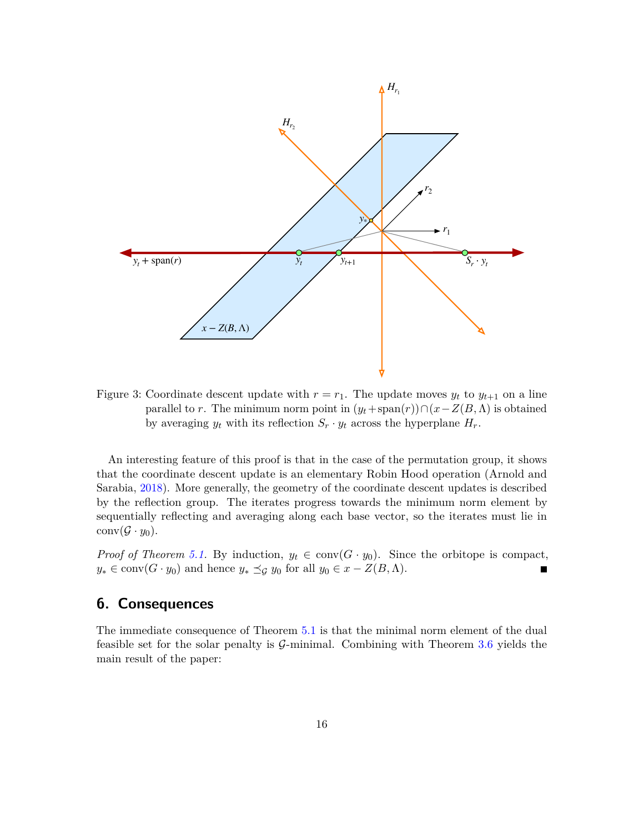<span id="page-15-1"></span>

Figure 3: Coordinate descent update with  $r = r_1$ . The update moves  $y_t$  to  $y_{t+1}$  on a line parallel to *r*. The minimum norm point in  $(y_t + \text{span}(r)) \cap (x - Z(B, \Lambda))$  is obtained by averaging  $y_t$  with its reflection  $S_r \cdot y_t$  across the hyperplane  $H_r$ .

An interesting feature of this proof is that in the case of the permutation group, it shows that the coordinate descent update is an elementary Robin Hood operation (Arnold and Sarabia, [2018\)](#page-24-6). More generally, the geometry of the coordinate descent updates is described by the reflection group. The iterates progress towards the minimum norm element by sequentially reflecting and averaging along each base vector, so the iterates must lie in  $conv(\mathcal{G} \cdot y_0).$ 

*Proof of Theorem [5.1.](#page-13-2)* By induction,  $y_t \in \text{conv}(G \cdot y_0)$ . Since the orbitope is compact,  $y_* \in \text{conv}(G \cdot y_0)$  and hence  $y_* \preceq_{\mathcal{G}} y_0$  for all  $y_0 \in x - Z(B, \Lambda)$ .  $\blacksquare$ 

### <span id="page-15-0"></span>**6. Consequences**

<span id="page-15-2"></span>The immediate consequence of Theorem [5.1](#page-13-2) is that the minimal norm element of the dual feasible set for the solar penalty is  $\mathcal{G}\text{-minimal}$ . Combining with Theorem [3.6](#page-7-2) yields the main result of the paper: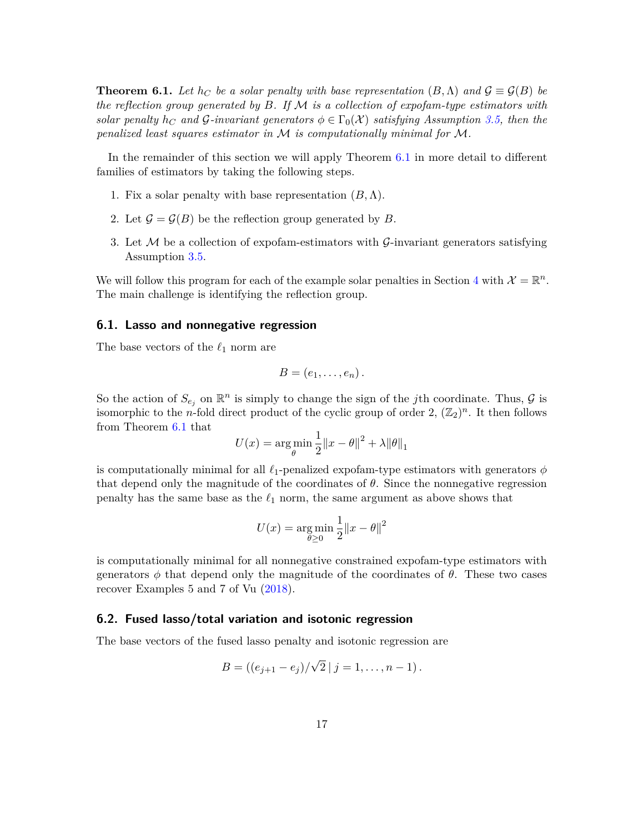**Theorem 6.1.** Let  $h_C$  be a solar penalty with base representation  $(B, \Lambda)$  and  $\mathcal{G} \equiv \mathcal{G}(B)$  be *the reflection group generated by B. If* M *is a collection of expofam-type estimators with solar penalty*  $h_C$  *and*  $G$ -*invariant generators*  $\phi \in \Gamma_0(\mathcal{X})$  *satisfying Assumption [3.5,](#page-7-1)* then the *penalized least squares estimator in* M *is computationally minimal for* M*.*

In the remainder of this section we will apply Theorem [6.1](#page-15-2) in more detail to different families of estimators by taking the following steps.

- 1. Fix a solar penalty with base representation  $(B, \Lambda)$ .
- 2. Let  $\mathcal{G} = \mathcal{G}(B)$  be the reflection group generated by *B*.
- 3. Let  $M$  be a collection of expofam-estimators with  $\mathcal{G}\text{-}invariant generators satisfying$ Assumption [3.5.](#page-7-1)

We will follow this program for each of the example solar penalties in Section [4](#page-8-0) with  $\mathcal{X} = \mathbb{R}^n$ . The main challenge is identifying the reflection group.

### **6.1. Lasso and nonnegative regression**

The base vectors of the  $\ell_1$  norm are

$$
B=(e_1,\ldots,e_n).
$$

So the action of  $S_{e_j}$  on  $\mathbb{R}^n$  is simply to change the sign of the *j*th coordinate. Thus,  $\mathcal G$  is isomorphic to the *n*-fold direct product of the cyclic group of order 2,  $(\mathbb{Z}_2)^n$ . It then follows from Theorem [6.1](#page-15-2) that

$$
U(x) = \arg\min_{\theta} \frac{1}{2} ||x - \theta||^2 + \lambda ||\theta||_1
$$

is computationally minimal for all  $\ell_1$ -penalized expofam-type estimators with generators  $\phi$ that depend only the magnitude of the coordinates of  $\theta$ . Since the nonnegative regression penalty has the same base as the  $\ell_1$  norm, the same argument as above shows that

$$
U(x) = \mathop{\arg\min}_{\theta \ge 0} \frac{1}{2} \|x - \theta\|^2
$$

is computationally minimal for all nonnegative constrained expofam-type estimators with generators  $\phi$  that depend only the magnitude of the coordinates of  $\theta$ . These two cases recover Examples 5 and 7 of Vu [\(2018\)](#page-26-0).

#### **6.2. Fused lasso/total variation and isotonic regression**

The base vectors of the fused lasso penalty and isotonic regression are

$$
B = ((e_{j+1} - e_j)/\sqrt{2} | j = 1, ..., n-1).
$$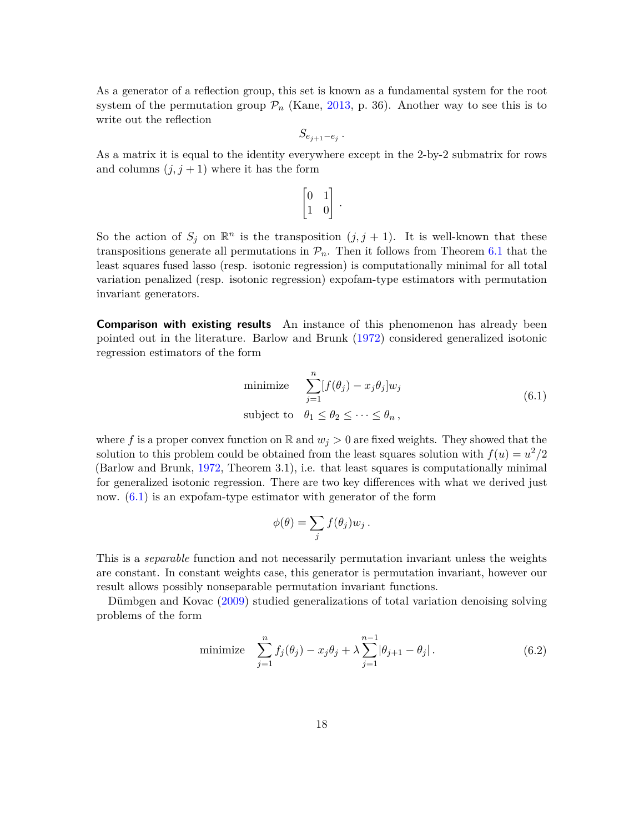As a generator of a reflection group, this set is known as a fundamental system for the root system of the permutation group  $\mathcal{P}_n$  (Kane, [2013,](#page-25-9) p. 36). Another way to see this is to write out the reflection

$$
S_{e_{j+1}-e_j}
$$

*.*

As a matrix it is equal to the identity everywhere except in the 2-by-2 submatrix for rows and columns  $(j, j + 1)$  where it has the form

$$
\begin{bmatrix} 0 & 1 \\ 1 & 0 \end{bmatrix}.
$$

So the action of  $S_j$  on  $\mathbb{R}^n$  is the transposition  $(j, j + 1)$ . It is well-known that these transpositions generate all permutations in  $\mathcal{P}_n$ . Then it follows from Theorem [6.1](#page-15-2) that the least squares fused lasso (resp. isotonic regression) is computationally minimal for all total variation penalized (resp. isotonic regression) expofam-type estimators with permutation invariant generators.

**Comparison with existing results** An instance of this phenomenon has already been pointed out in the literature. Barlow and Brunk [\(1972\)](#page-24-7) considered generalized isotonic regression estimators of the form

<span id="page-17-0"></span>minimize 
$$
\sum_{j=1}^{n} [f(\theta_j) - x_j \theta_j] w_j
$$
  
subject to 
$$
\theta_1 \le \theta_2 \le \cdots \le \theta_n,
$$
 (6.1)

where f is a proper convex function on  $\mathbb{R}$  and  $w_j > 0$  are fixed weights. They showed that the solution to this problem could be obtained from the least squares solution with  $f(u) = u^2/2$ (Barlow and Brunk, [1972,](#page-24-7) Theorem 3.1), i.e. that least squares is computationally minimal for generalized isotonic regression. There are two key differences with what we derived just now. [\(6.1\)](#page-17-0) is an expofam-type estimator with generator of the form

$$
\phi(\theta) = \sum_j f(\theta_j) w_j.
$$

This is a *separable* function and not necessarily permutation invariant unless the weights are constant. In constant weights case, this generator is permutation invariant, however our result allows possibly nonseparable permutation invariant functions.

Dümbgen and Kovac [\(2009\)](#page-24-2) studied generalizations of total variation denoising solving problems of the form

minimize 
$$
\sum_{j=1}^{n} f_j(\theta_j) - x_j \theta_j + \lambda \sum_{j=1}^{n-1} |\theta_{j+1} - \theta_j|.
$$
 (6.2)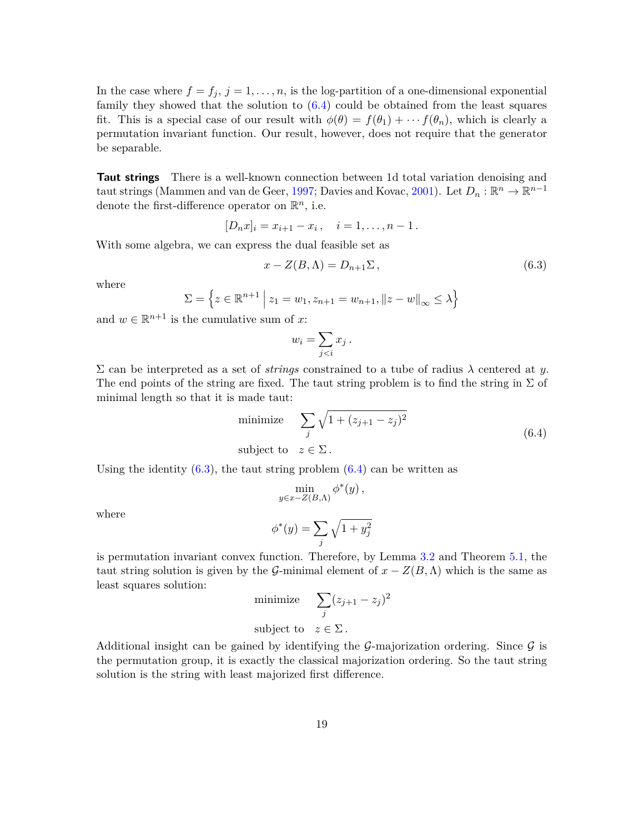In the case where  $f = f_j$ ,  $j = 1, \ldots, n$ , is the log-partition of a one-dimensional exponential family they showed that the solution to  $(6.4)$  could be obtained from the least squares fit. This is a special case of our result with  $\phi(\theta) = f(\theta_1) + \cdots + f(\theta_n)$ , which is clearly a permutation invariant function. Our result, however, does not require that the generator be separable.

**Taut strings** There is a well-known connection between 1d total variation denoising and taut strings (Mammen and van de Geer, [1997;](#page-26-2) Davies and Kovac, [2001\)](#page-24-0). Let  $D_n : \mathbb{R}^n \to \mathbb{R}^{n-1}$ denote the first-difference operator on  $\mathbb{R}^n$ , i.e.

$$
[D_n x]_i = x_{i+1} - x_i, \quad i = 1, \dots, n-1.
$$

With some algebra, we can express the dual feasible set as

<span id="page-18-1"></span>
$$
x - Z(B, \Lambda) = D_{n+1} \Sigma, \qquad (6.3)
$$

where

$$
\Sigma = \left\{ z \in \mathbb{R}^{n+1} \, \middle| \, z_1 = w_1, z_{n+1} = w_{n+1}, ||z - w||_{\infty} \le \lambda \right\}
$$

and  $w \in \mathbb{R}^{n+1}$  is the cumulative sum of x:

<span id="page-18-0"></span>
$$
w_i = \sum_{j
$$

Σ can be interpreted as a set of *strings* constrained to a tube of radius *λ* centered at *y*. The end points of the string are fixed. The taut string problem is to find the string in  $\Sigma$  of minimal length so that it is made taut:

minimize 
$$
\sum_{j} \sqrt{1 + (z_{j+1} - z_j)^2}
$$
  
subject to  $z \in \Sigma$ . (6.4)

Using the identity  $(6.3)$ , the taut string problem  $(6.4)$  can be written as

$$
\min_{y \in x - Z(B,\Lambda)} \phi^*(y),
$$
  

$$
\phi^*(y) = \sum_j \sqrt{1 + y_j^2}
$$

where

is permutation invariant convex function. Therefore, by Lemma 3.2 and Theorem 5.1, the  
taut string solution is given by the 
$$
G
$$
-minimal element of  $x - Z(B, \Lambda)$  which is the same as  
least squares solution:

$$
\text{minimize} \quad \sum_{j} (z_{j+1} - z_j)^2
$$

subject to  $z \in \Sigma$ .

Additional insight can be gained by identifying the  $\mathcal{G}$ -majorization ordering. Since  $\mathcal{G}$  is the permutation group, it is exactly the classical majorization ordering. So the taut string solution is the string with least majorized first difference.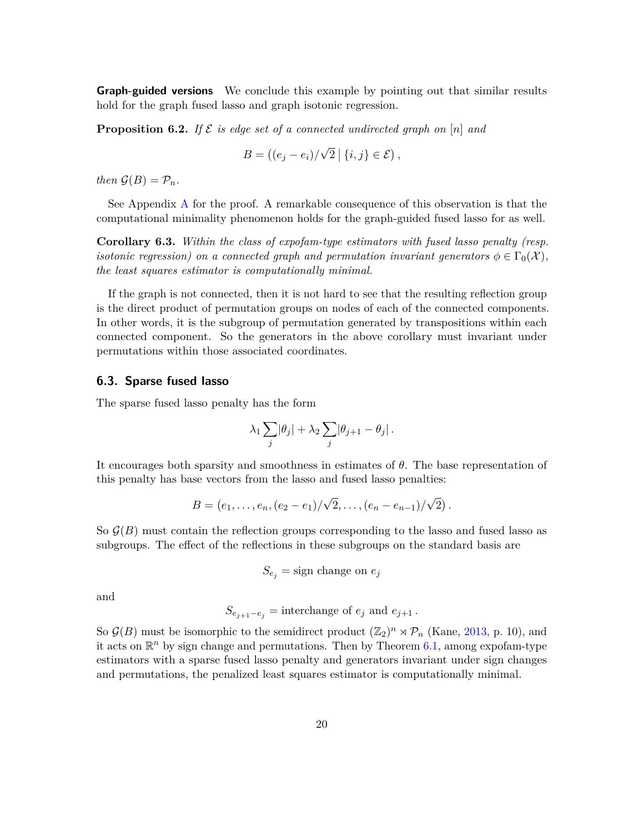**Graph-guided versions** We conclude this example by pointing out that similar results hold for the graph fused lasso and graph isotonic regression.

<span id="page-19-0"></span>**Proposition 6.2.** If  $\mathcal{E}$  is edge set of a connected undirected graph on [n] and

$$
B = ((e_j - e_i) / \sqrt{2} | \{i, j\} \in \mathcal{E}),
$$

*then*  $\mathcal{G}(B) = \mathcal{P}_n$ *.* 

See Appendix [A](#page-22-0) for the proof. A remarkable consequence of this observation is that the computational minimality phenomenon holds for the graph-guided fused lasso for as well.

**Corollary 6.3.** *Within the class of expofam-type estimators with fused lasso penalty (resp. isotonic regression) on a connected graph and permutation invariant generators*  $\phi \in \Gamma_0(\mathcal{X})$ , *the least squares estimator is computationally minimal.*

If the graph is not connected, then it is not hard to see that the resulting reflection group is the direct product of permutation groups on nodes of each of the connected components. In other words, it is the subgroup of permutation generated by transpositions within each connected component. So the generators in the above corollary must invariant under permutations within those associated coordinates.

#### **6.3. Sparse fused lasso**

The sparse fused lasso penalty has the form

$$
\lambda_1 \sum_j |\theta_j| + \lambda_2 \sum_j |\theta_{j+1} - \theta_j|.
$$

It encourages both sparsity and smoothness in estimates of *θ*. The base representation of this penalty has base vectors from the lasso and fused lasso penalties:

$$
B = (e_1, \ldots, e_n, (e_2 - e_1) / \sqrt{2}, \ldots, (e_n - e_{n-1}) / \sqrt{2}).
$$

So  $\mathcal{G}(B)$  must contain the reflection groups corresponding to the lasso and fused lasso as subgroups. The effect of the reflections in these subgroups on the standard basis are

$$
S_{e_j} = \text{sign change on } e_j
$$

and

$$
S_{e_{j+1}-e_j} = \text{interchange of } e_j \text{ and } e_{j+1}.
$$

So  $\mathcal{G}(B)$  must be isomorphic to the semidirect product  $(\mathbb{Z}_2)^n \rtimes \mathcal{P}_n$  (Kane, [2013,](#page-25-9) p. 10), and it acts on  $\mathbb{R}^n$  by sign change and permutations. Then by Theorem [6.1,](#page-15-2) among expofam-type estimators with a sparse fused lasso penalty and generators invariant under sign changes and permutations, the penalized least squares estimator is computationally minimal.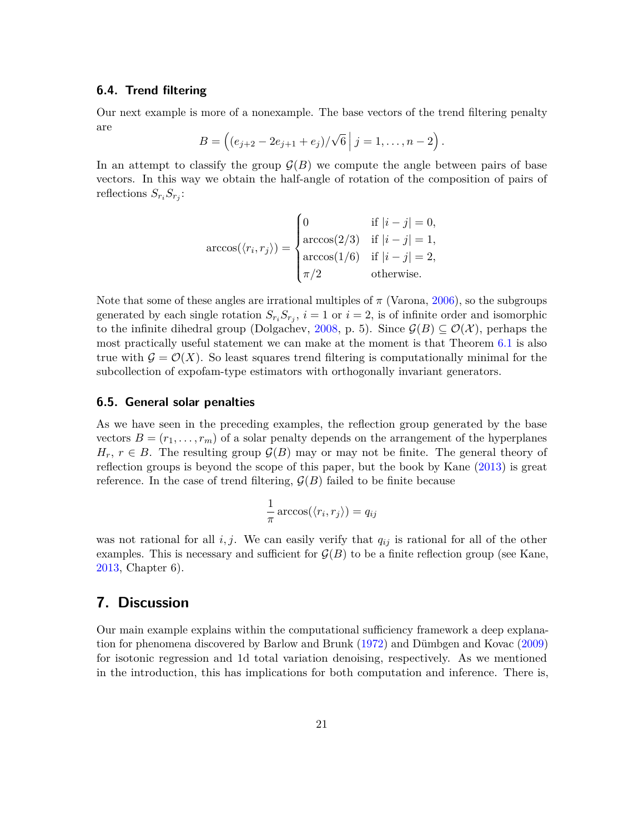### **6.4. Trend filtering**

Our next example is more of a nonexample. The base vectors of the trend filtering penalty are √

$$
B = ((e_{j+2} - 2e_{j+1} + e_j)/\sqrt{6} | j = 1, ..., n-2).
$$

In an attempt to classify the group  $\mathcal{G}(B)$  we compute the angle between pairs of base vectors. In this way we obtain the half-angle of rotation of the composition of pairs of reflections  $S_{r_i} S_{r_j}$ :

$$
\arccos(\langle r_i, r_j \rangle) = \begin{cases} 0 & \text{if } |i - j| = 0, \\ \arccos(2/3) & \text{if } |i - j| = 1, \\ \arccos(1/6) & \text{if } |i - j| = 2, \\ \pi/2 & \text{otherwise.} \end{cases}
$$

Note that some of these angles are irrational multiples of  $\pi$  (Varona, [2006\)](#page-26-11), so the subgroups generated by each single rotation  $S_{r_i}S_{r_j}$ ,  $i=1$  or  $i=2$ , is of infinite order and isomorphic to the infinite dihedral group (Dolgachev, [2008,](#page-24-8) p. 5). Since  $\mathcal{G}(B) \subseteq \mathcal{O}(\mathcal{X})$ , perhaps the most practically useful statement we can make at the moment is that Theorem [6.1](#page-15-2) is also true with  $\mathcal{G} = \mathcal{O}(X)$ . So least squares trend filtering is computationally minimal for the subcollection of expofam-type estimators with orthogonally invariant generators.

#### <span id="page-20-1"></span>**6.5. General solar penalties**

As we have seen in the preceding examples, the reflection group generated by the base vectors  $B = (r_1, \ldots, r_m)$  of a solar penalty depends on the arrangement of the hyperplanes  $H_r$ ,  $r \in B$ . The resulting group  $\mathcal{G}(B)$  may or may not be finite. The general theory of reflection groups is beyond the scope of this paper, but the book by Kane [\(2013\)](#page-25-9) is great reference. In the case of trend filtering,  $\mathcal{G}(B)$  failed to be finite because

$$
\frac{1}{\pi}\arccos(\langle r_i, r_j \rangle) = q_{ij}
$$

was not rational for all  $i, j$ . We can easily verify that  $q_{ij}$  is rational for all of the other examples. This is necessary and sufficient for  $\mathcal{G}(B)$  to be a finite reflection group (see Kane, [2013,](#page-25-9) Chapter 6).

### <span id="page-20-0"></span>**7. Discussion**

Our main example explains within the computational sufficiency framework a deep explanation for phenomena discovered by Barlow and Brunk [\(1972\)](#page-24-7) and Dümbgen and Kovac [\(2009\)](#page-24-2) for isotonic regression and 1d total variation denoising, respectively. As we mentioned in the introduction, this has implications for both computation and inference. There is,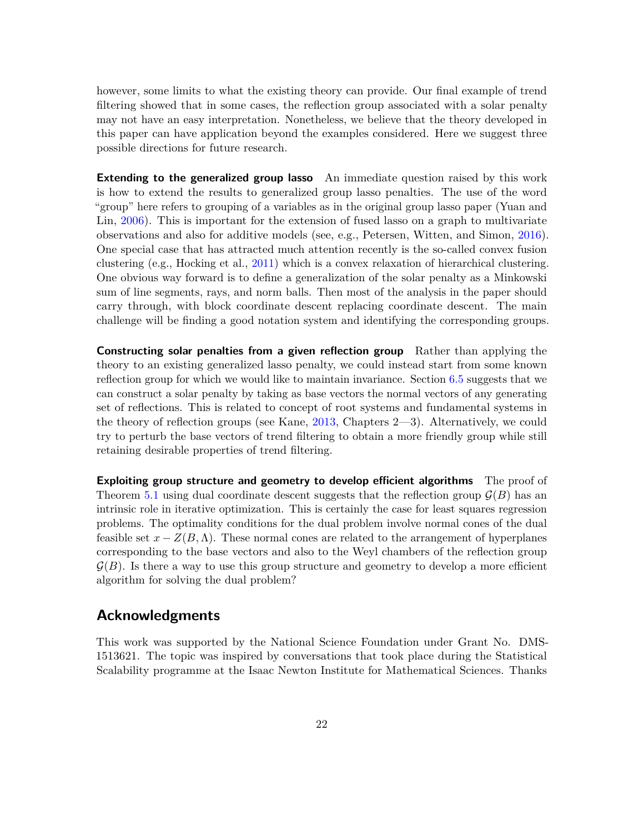however, some limits to what the existing theory can provide. Our final example of trend filtering showed that in some cases, the reflection group associated with a solar penalty may not have an easy interpretation. Nonetheless, we believe that the theory developed in this paper can have application beyond the examples considered. Here we suggest three possible directions for future research.

**Extending to the generalized group lasso** An immediate question raised by this work is how to extend the results to generalized group lasso penalties. The use of the word "group" here refers to grouping of a variables as in the original group lasso paper (Yuan and Lin, [2006\)](#page-26-12). This is important for the extension of fused lasso on a graph to multivariate observations and also for additive models (see, e.g., Petersen, Witten, and Simon, [2016\)](#page-26-13). One special case that has attracted much attention recently is the so-called convex fusion clustering (e.g., Hocking et al., [2011\)](#page-25-10) which is a convex relaxation of hierarchical clustering. One obvious way forward is to define a generalization of the solar penalty as a Minkowski sum of line segments, rays, and norm balls. Then most of the analysis in the paper should carry through, with block coordinate descent replacing coordinate descent. The main challenge will be finding a good notation system and identifying the corresponding groups.

**Constructing solar penalties from a given reflection group** Rather than applying the theory to an existing generalized lasso penalty, we could instead start from some known reflection group for which we would like to maintain invariance. Section [6.5](#page-20-1) suggests that we can construct a solar penalty by taking as base vectors the normal vectors of any generating set of reflections. This is related to concept of root systems and fundamental systems in the theory of reflection groups (see Kane, [2013,](#page-25-9) Chapters 2—3). Alternatively, we could try to perturb the base vectors of trend filtering to obtain a more friendly group while still retaining desirable properties of trend filtering.

**Exploiting group structure and geometry to develop efficient algorithms** The proof of Theorem [5.1](#page-13-2) using dual coordinate descent suggests that the reflection group  $\mathcal{G}(B)$  has an intrinsic role in iterative optimization. This is certainly the case for least squares regression problems. The optimality conditions for the dual problem involve normal cones of the dual feasible set  $x - Z(B, \Lambda)$ . These normal cones are related to the arrangement of hyperplanes corresponding to the base vectors and also to the Weyl chambers of the reflection group  $\mathcal{G}(B)$ . Is there a way to use this group structure and geometry to develop a more efficient algorithm for solving the dual problem?

### **Acknowledgments**

This work was supported by the National Science Foundation under Grant No. DMS-1513621. The topic was inspired by conversations that took place during the Statistical Scalability programme at the Isaac Newton Institute for Mathematical Sciences. Thanks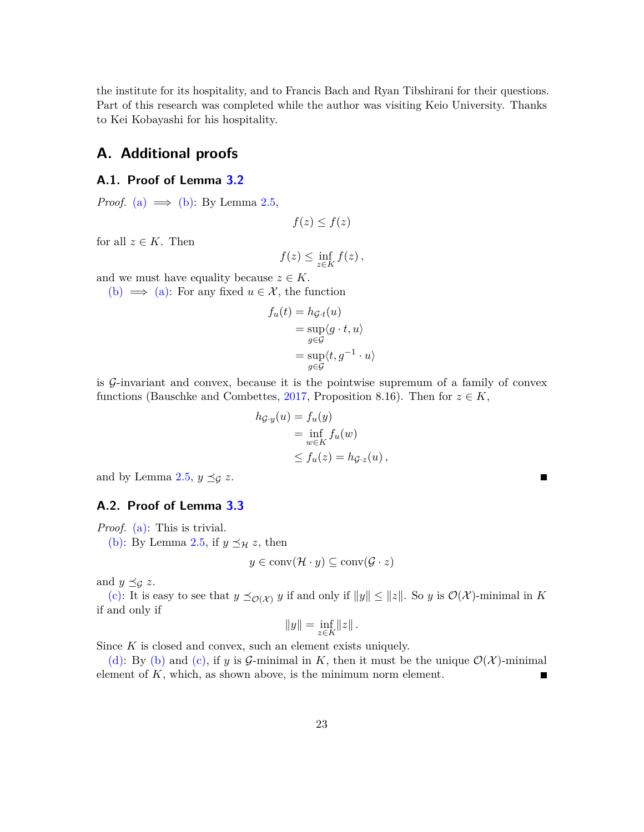the institute for its hospitality, and to Francis Bach and Ryan Tibshirani for their questions. Part of this research was completed while the author was visiting Keio University. Thanks to Kei Kobayashi for his hospitality.

# <span id="page-22-0"></span>**A. Additional proofs**

### **A.1. Proof of Lemma [3.2](#page-6-0)**

*Proof.* [\(a\)](#page-6-3)  $\implies$  [\(b\):](#page-6-4) By Lemma [2.5,](#page-5-1)

$$
f(z) \le f(z)
$$

for all  $z \in K$ . Then

$$
f(z) \le \inf_{z \in K} f(z),
$$

and we must have equality because  $z \in K$ .

[\(b\)](#page-6-4)  $\implies$  [\(a\):](#page-6-3) For any fixed  $u \in \mathcal{X}$ , the function

$$
f_u(t) = h_{\mathcal{G}\cdot t}(u)
$$
  
= 
$$
\sup_{g \in \mathcal{G}} \langle g \cdot t, u \rangle
$$
  
= 
$$
\sup_{g \in \mathcal{G}} \langle t, g^{-1} \cdot u \rangle
$$

is G-invariant and convex, because it is the pointwise supremum of a family of convex functions (Bauschke and Combettes, [2017,](#page-24-4) Proposition 8.16). Then for  $z \in K$ ,

$$
h_{\mathcal{G}\cdot y}(u) = f_u(y)
$$
  
= 
$$
\inf_{w \in K} f_u(w)
$$
  

$$
\leq f_u(z) = h_{\mathcal{G}\cdot z}(u),
$$

 $\blacksquare$ 

and by Lemma [2.5,](#page-5-1)  $y \preceq_{\mathcal{G}} z$ .

### **A.2. Proof of Lemma [3.3](#page-6-1)**

*Proof.* [\(a\):](#page-6-5) This is trivial.

[\(b\):](#page-6-6) By Lemma [2.5,](#page-5-1) if  $y \preceq_{\mathcal{H}} z$ , then

$$
y \in \text{conv}(\mathcal{H} \cdot y) \subseteq \text{conv}(\mathcal{G} \cdot z)
$$

and  $y \preceq_{\mathcal{G}} z$ .

[\(c\):](#page-6-7) It is easy to see that  $y \preceq_{\mathcal{O}(\mathcal{X})} y$  if and only if  $||y|| \le ||z||$ . So *y* is  $\mathcal{O}(\mathcal{X})$ -minimal in *K* if and only if

$$
||y|| = \inf_{z \in K} ||z||.
$$

Since *K* is closed and convex, such an element exists uniquely.

[\(d\):](#page-6-2) By [\(b\)](#page-6-6) and [\(c\),](#page-6-7) if *y* is *G*-minimal in *K*, then it must be the unique  $\mathcal{O}(\mathcal{X})$ -minimal element of *K*, which, as shown above, is the minimum norm element.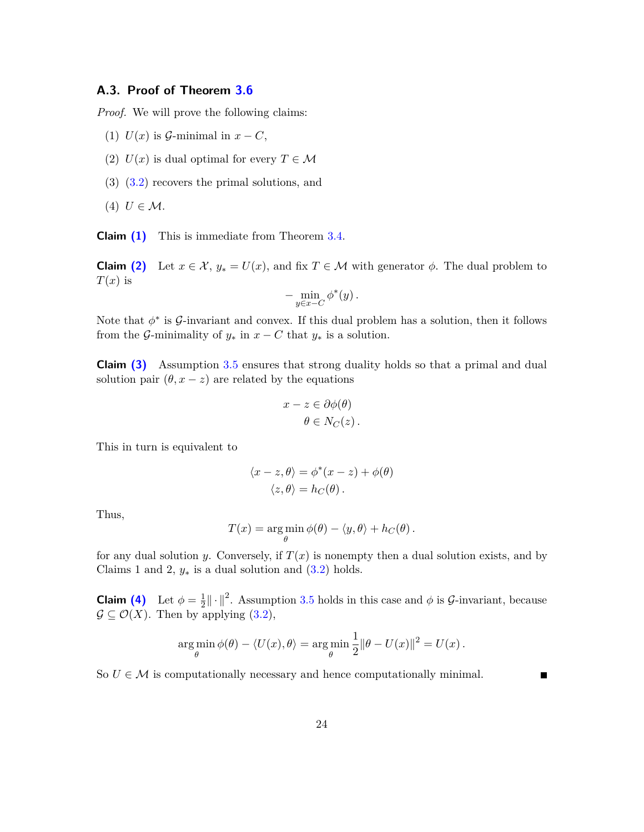### **A.3. Proof of Theorem [3.6](#page-7-2)**

*Proof.* We will prove the following claims:

- <span id="page-23-0"></span>(1)  $U(x)$  is  $\mathcal{G}\text{-minimal in } x - C$ ,
- <span id="page-23-1"></span>(2)  $U(x)$  is dual optimal for every  $T \in \mathcal{M}$
- <span id="page-23-2"></span>(3) [\(3.2\)](#page-8-1) recovers the primal solutions, and
- <span id="page-23-3"></span> $(4)$  *U*  $\in \mathcal{M}$ .

**Claim [\(1\)](#page-23-0)** This is immediate from Theorem [3.4.](#page-7-0)

**Claim** [\(2\)](#page-23-1) Let  $x \in \mathcal{X}$ ,  $y_* = U(x)$ , and fix  $T \in \mathcal{M}$  with generator  $\phi$ . The dual problem to  $T(x)$  is

$$
-\min_{y\in x-C}\phi^*(y)\,.
$$

Note that  $\phi^*$  is  $\mathcal{G}\text{-invariant}$  and convex. If this dual problem has a solution, then it follows from the G-minimality of  $y_*$  in  $x - C$  that  $y_*$  is a solution.

**Claim [\(3\)](#page-23-2)** Assumption [3.5](#page-7-1) ensures that strong duality holds so that a primal and dual solution pair  $(\theta, x - z)$  are related by the equations

$$
x - z \in \partial \phi(\theta)
$$

$$
\theta \in N_C(z).
$$

This in turn is equivalent to

$$
\langle x - z, \theta \rangle = \phi^*(x - z) + \phi(\theta)
$$
  

$$
\langle z, \theta \rangle = h_C(\theta).
$$

Thus,

$$
T(x) = \arg\min_{\theta} \phi(\theta) - \langle y, \theta \rangle + h_C(\theta).
$$

for any dual solution *y*. Conversely, if  $T(x)$  is nonempty then a dual solution exists, and by Claims 1 and 2,  $y_*$  is a dual solution and  $(3.2)$  holds.

**Claim [\(4\)](#page-23-3)** Let  $\phi = \frac{1}{2}$  $\frac{1}{2} \|\cdot\|^2$ . Assumption [3.5](#page-7-1) holds in this case and  $\phi$  is G-invariant, because  $\mathcal{G} \subseteq \mathcal{O}(X)$ . Then by applying [\(3.2\)](#page-8-1),

$$
\argmin_{\theta} \phi(\theta) - \langle U(x), \theta \rangle = \argmin_{\theta} \frac{1}{2} ||\theta - U(x)||^2 = U(x).
$$

П

So  $U \in \mathcal{M}$  is computationally necessary and hence computationally minimal.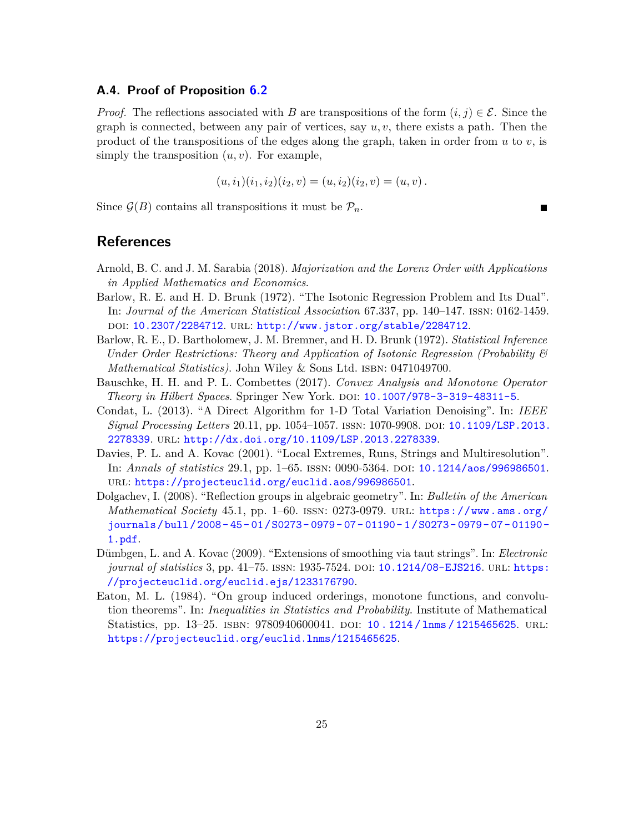#### **A.4. Proof of Proposition [6.2](#page-19-0)**

*Proof.* The reflections associated with *B* are transpositions of the form  $(i, j) \in \mathcal{E}$ . Since the graph is connected, between any pair of vertices, say *u, v*, there exists a path. Then the product of the transpositions of the edges along the graph, taken in order from  $u$  to  $v$ , is simply the transposition  $(u, v)$ . For example,

$$
(u, i1)(i1, i2)(i2, v) = (u, i2)(i2, v) = (u, v).
$$

Since  $\mathcal{G}(B)$  contains all transpositions it must be  $\mathcal{P}_n$ .

### **References**

- <span id="page-24-6"></span>Arnold, B. C. and J. M. Sarabia (2018). *Majorization and the Lorenz Order with Applications in Applied Mathematics and Economics*.
- <span id="page-24-7"></span>Barlow, R. E. and H. D. Brunk (1972). "The Isotonic Regression Problem and Its Dual". In: *Journal of the American Statistical Association* 67.337, pp. 140–147. issn: 0162-1459. doi: [10.2307/2284712](http://dx.doi.org/10.2307/2284712). url: <http://www.jstor.org/stable/2284712>.
- <span id="page-24-3"></span>Barlow, R. E., D. Bartholomew, J. M. Bremner, and H. D. Brunk (1972). *Statistical Inference Under Order Restrictions: Theory and Application of Isotonic Regression (Probability & Mathematical Statistics*). John Wiley & Sons Ltd. ISBN: 0471049700.
- <span id="page-24-4"></span>Bauschke, H. H. and P. L. Combettes (2017). *Convex Analysis and Monotone Operator Theory in Hilbert Spaces*. Springer New York. doi: [10.1007/978-3-319-48311-5](http://dx.doi.org/10.1007/978-3-319-48311-5).
- <span id="page-24-1"></span>Condat, L. (2013). "A Direct Algorithm for 1-D Total Variation Denoising". In: *IEEE Signal Processing Letters* 20.11, pp. 1054–1057. issn: 1070-9908. doi: [10.1109/LSP.2013.](http://dx.doi.org/10.1109/LSP.2013.2278339) [2278339](http://dx.doi.org/10.1109/LSP.2013.2278339). url: <http://dx.doi.org/10.1109/LSP.2013.2278339>.
- <span id="page-24-0"></span>Davies, P. L. and A. Kovac (2001). "Local Extremes, Runs, Strings and Multiresolution". In: *Annals of statistics* 29.1, pp. 1–65. ISSN: 0090-5364. DOI: [10.1214/aos/996986501](http://dx.doi.org/10.1214/aos/996986501). url: <https://projecteuclid.org/euclid.aos/996986501>.
- <span id="page-24-8"></span>Dolgachev, I. (2008). "Reflection groups in algebraic geometry". In: *Bulletin of the American Mathematical Society* 45.1, pp. 1–60. issn: 0273-0979. url: [https://www.ams.org/](https://www.ams.org/journals/bull/2008-45-01/S0273-0979-07-01190-1/S0273-0979-07-01190-1.pdf) [journals / bull / 2008 - 45 - 01 / S0273 - 0979 - 07 - 01190 - 1 / S0273 - 0979 - 07 - 01190 -](https://www.ams.org/journals/bull/2008-45-01/S0273-0979-07-01190-1/S0273-0979-07-01190-1.pdf) [1.pdf](https://www.ams.org/journals/bull/2008-45-01/S0273-0979-07-01190-1/S0273-0979-07-01190-1.pdf).
- <span id="page-24-2"></span>Dümbgen, L. and A. Kovac (2009). "Extensions of smoothing via taut strings". In: *Electronic journal of statistics* 3, pp. 41–75. ISSN: 1935-7524. DOI: [10.1214/08-EJS216](http://dx.doi.org/10.1214/08-EJS216). URL: [https:](https://projecteuclid.org/euclid.ejs/1233176790) [//projecteuclid.org/euclid.ejs/1233176790](https://projecteuclid.org/euclid.ejs/1233176790).
- <span id="page-24-5"></span>Eaton, M. L. (1984). "On group induced orderings, monotone functions, and convolution theorems". In: *Inequalities in Statistics and Probability*. Institute of Mathematical Statistics, pp. 13-25. ISBN: 9780940600041. DOI: 10.1214/1nms/1215465625. URL: <https://projecteuclid.org/euclid.lnms/1215465625>.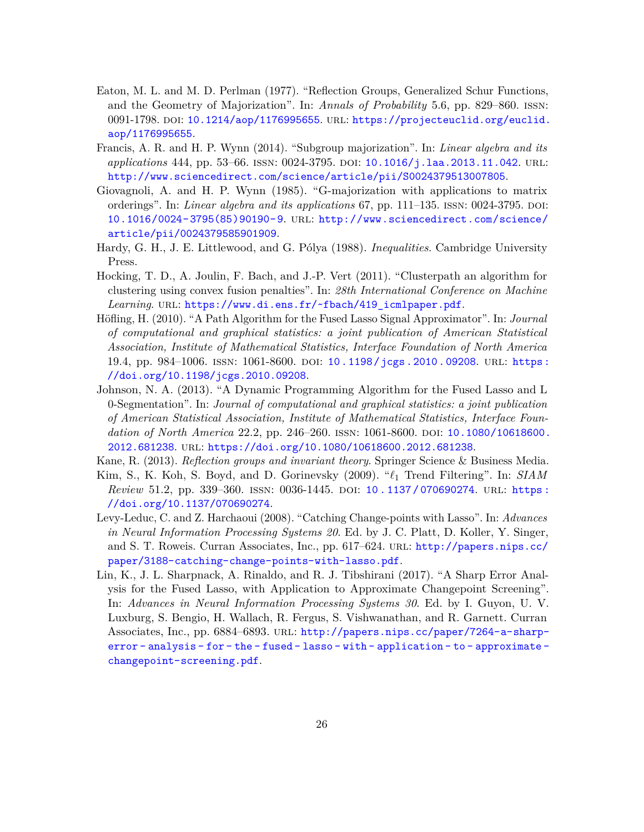- <span id="page-25-4"></span>Eaton, M. L. and M. D. Perlman (1977). "Reflection Groups, Generalized Schur Functions, and the Geometry of Majorization". In: *Annals of Probability* 5.6, pp. 829–860. issn: 0091-1798. doi: [10.1214/aop/1176995655](http://dx.doi.org/10.1214/aop/1176995655). url: [https://projecteuclid.org/euclid.](https://projecteuclid.org/euclid.aop/1176995655) [aop/1176995655](https://projecteuclid.org/euclid.aop/1176995655).
- <span id="page-25-6"></span>Francis, A. R. and H. P. Wynn (2014). "Subgroup majorization". In: *Linear algebra and its applications* 444, pp. 53–66. ISSN: 0024-3795. DOI: [10.1016/j.laa.2013.11.042](http://dx.doi.org/10.1016/j.laa.2013.11.042). URL: <http://www.sciencedirect.com/science/article/pii/S0024379513007805>.
- <span id="page-25-5"></span>Giovagnoli, A. and H. P. Wynn (1985). "G-majorization with applications to matrix orderings". In: *Linear algebra and its applications* 67, pp. 111–135. ISSN: 0024-3795. DOI: [10.1016/0024-3795\(85\)90190-9](http://dx.doi.org/10.1016/0024-3795(85)90190-9). url: [http://www.sciencedirect.com/science/](http://www.sciencedirect.com/science/article/pii/0024379585901909) [article/pii/0024379585901909](http://www.sciencedirect.com/science/article/pii/0024379585901909).
- <span id="page-25-8"></span>Hardy, G. H., J. E. Littlewood, and G. Pólya (1988). *Inequalities*. Cambridge University Press.
- <span id="page-25-10"></span>Hocking, T. D., A. Joulin, F. Bach, and J.-P. Vert (2011). "Clusterpath an algorithm for clustering using convex fusion penalties". In: *28th International Conference on Machine* Learning. URL: [https://www.di.ens.fr/~fbach/419\\_icmlpaper.pdf](https://www.di.ens.fr/~fbach/419_icmlpaper.pdf).
- <span id="page-25-2"></span>Höfling, H. (2010). "A Path Algorithm for the Fused Lasso Signal Approximator". In: *Journal of computational and graphical statistics: a joint publication of American Statistical Association, Institute of Mathematical Statistics, Interface Foundation of North America* 19.4, pp. 984–1006. issn: 1061-8600. doi: [10.1198/jcgs.2010.09208](http://dx.doi.org/10.1198/jcgs.2010.09208). url: [https:](https://doi.org/10.1198/jcgs.2010.09208) [//doi.org/10.1198/jcgs.2010.09208](https://doi.org/10.1198/jcgs.2010.09208).
- <span id="page-25-3"></span>Johnson, N. A. (2013). "A Dynamic Programming Algorithm for the Fused Lasso and L 0-Segmentation". In: *Journal of computational and graphical statistics: a joint publication of American Statistical Association, Institute of Mathematical Statistics, Interface Foundation of North America* 22.2, pp. 246–260. issn: 1061-8600. doi: [10.1080/10618600.](http://dx.doi.org/10.1080/10618600.2012.681238) [2012.681238](http://dx.doi.org/10.1080/10618600.2012.681238). url: <https://doi.org/10.1080/10618600.2012.681238>.
- <span id="page-25-9"></span>Kane, R. (2013). *Reflection groups and invariant theory*. Springer Science & Business Media.
- <span id="page-25-7"></span>Kim, S., K. Koh, S. Boyd, and D. Gorinevsky (2009). "*`*<sup>1</sup> Trend Filtering". In: *SIAM Review* 51.2, pp. 339–360. ISSN: 0036-1445. DOI: 10.1137/070690274. URL: https: [//doi.org/10.1137/070690274](https://doi.org/10.1137/070690274).
- <span id="page-25-0"></span>Levy-Leduc, C. and Z. Harchaoui (2008). "Catching Change-points with Lasso". In: *Advances in Neural Information Processing Systems 20*. Ed. by J. C. Platt, D. Koller, Y. Singer, and S. T. Roweis. Curran Associates, Inc., pp. 617–624. url: [http://papers.nips.cc/](http://papers.nips.cc/paper/3188-catching-change-points-with-lasso.pdf) [paper/3188-catching-change-points-with-lasso.pdf](http://papers.nips.cc/paper/3188-catching-change-points-with-lasso.pdf).
- <span id="page-25-1"></span>Lin, K., J. L. Sharpnack, A. Rinaldo, and R. J. Tibshirani (2017). "A Sharp Error Analysis for the Fused Lasso, with Application to Approximate Changepoint Screening". In: *Advances in Neural Information Processing Systems 30*. Ed. by I. Guyon, U. V. Luxburg, S. Bengio, H. Wallach, R. Fergus, S. Vishwanathan, and R. Garnett. Curran Associates, Inc., pp. 6884–6893. url: [http://papers.nips.cc/paper/7264-a-sharp](http://papers.nips.cc/paper/7264-a-sharp-error-analysis-for-the-fused-lasso-with-application-to-approximate-changepoint-screening.pdf)[error - analysis - for - the - fused - lasso - with - application - to - approximate](http://papers.nips.cc/paper/7264-a-sharp-error-analysis-for-the-fused-lasso-with-application-to-approximate-changepoint-screening.pdf)  [changepoint-screening.pdf](http://papers.nips.cc/paper/7264-a-sharp-error-analysis-for-the-fused-lasso-with-application-to-approximate-changepoint-screening.pdf).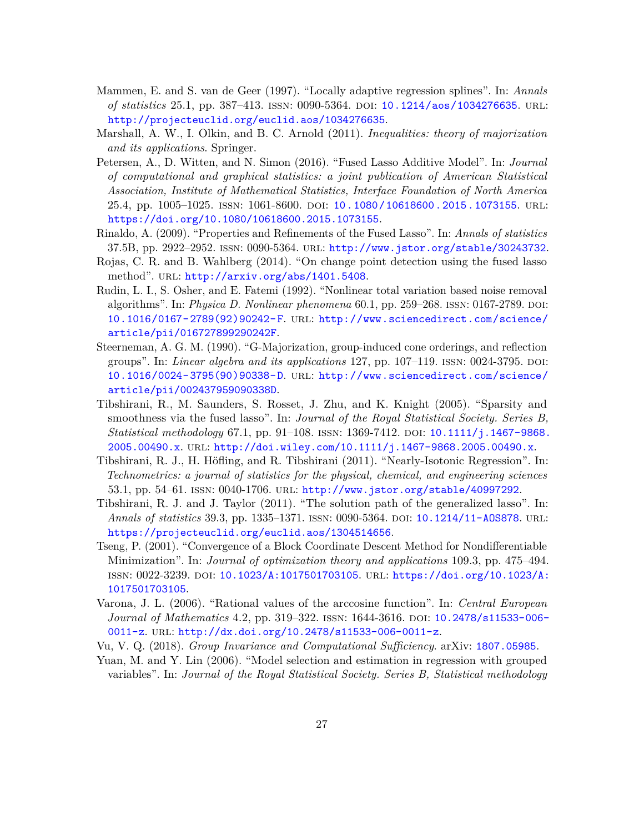- <span id="page-26-2"></span>Mammen, E. and S. van de Geer (1997). "Locally adaptive regression splines". In: *Annals of statistics* 25.1, pp. 387–413. ISSN: 0090-5364. DOI: [10.1214/aos/1034276635](http://dx.doi.org/10.1214/aos/1034276635). URL: <http://projecteuclid.org/euclid.aos/1034276635>.
- <span id="page-26-7"></span>Marshall, A. W., I. Olkin, and B. C. Arnold (2011). *Inequalities: theory of majorization and its applications*. Springer.
- <span id="page-26-13"></span>Petersen, A., D. Witten, and N. Simon (2016). "Fused Lasso Additive Model". In: *Journal of computational and graphical statistics: a joint publication of American Statistical Association, Institute of Mathematical Statistics, Interface Foundation of North America* 25.4, pp. 1005–1025. issn: 1061-8600. doi: [10.1080/10618600.2015.1073155](http://dx.doi.org/10.1080/10618600.2015.1073155). url: <https://doi.org/10.1080/10618600.2015.1073155>.
- <span id="page-26-3"></span>Rinaldo, A. (2009). "Properties and Refinements of the Fused Lasso". In: *Annals of statistics* 37.5B, pp. 2922–2952. issn: 0090-5364. url: <http://www.jstor.org/stable/30243732>.
- <span id="page-26-4"></span>Rojas, C. R. and B. Wahlberg (2014). "On change point detection using the fused lasso method". URL: <http://arxiv.org/abs/1401.5408>.
- <span id="page-26-6"></span>Rudin, L. I., S. Osher, and E. Fatemi (1992). "Nonlinear total variation based noise removal algorithms". In: *Physica D. Nonlinear phenomena* 60.1, pp. 259–268. ISSN: 0167-2789. DOI: [10.1016/0167-2789\(92\)90242-F](http://dx.doi.org/10.1016/0167-2789(92)90242-F). url: [http://www.sciencedirect.com/science/](http://www.sciencedirect.com/science/article/pii/016727899290242F) [article/pii/016727899290242F](http://www.sciencedirect.com/science/article/pii/016727899290242F).
- <span id="page-26-8"></span>Steerneman, A. G. M. (1990). "G-Majorization, group-induced cone orderings, and reflection groups". In: *Linear algebra and its applications* 127, pp. 107–119. issn: 0024-3795. doi: [10.1016/0024-3795\(90\)90338-D](http://dx.doi.org/10.1016/0024-3795(90)90338-D). url: [http://www.sciencedirect.com/science/](http://www.sciencedirect.com/science/article/pii/002437959090338D) [article/pii/002437959090338D](http://www.sciencedirect.com/science/article/pii/002437959090338D).
- <span id="page-26-1"></span>Tibshirani, R., M. Saunders, S. Rosset, J. Zhu, and K. Knight (2005). "Sparsity and smoothness via the fused lasso". In: *Journal of the Royal Statistical Society. Series B, Statistical methodology* 67.1, pp. 91–108. ISSN: 1369-7412. DOI: [10.1111/j.1467-9868.](http://dx.doi.org/10.1111/j.1467-9868.2005.00490.x) [2005.00490.x](http://dx.doi.org/10.1111/j.1467-9868.2005.00490.x). url: <http://doi.wiley.com/10.1111/j.1467-9868.2005.00490.x>.
- <span id="page-26-9"></span>Tibshirani, R. J., H. Höfling, and R. Tibshirani (2011). "Nearly-Isotonic Regression". In: *Technometrics: a journal of statistics for the physical, chemical, and engineering sciences* 53.1, pp. 54–61. issn: 0040-1706. url: <http://www.jstor.org/stable/40997292>.
- <span id="page-26-5"></span>Tibshirani, R. J. and J. Taylor (2011). "The solution path of the generalized lasso". In: *Annals of statistics* 39.3, pp. 1335–1371. ISSN: 0090-5364. DOI: [10.1214/11-AOS878](http://dx.doi.org/10.1214/11-AOS878). URL: <https://projecteuclid.org/euclid.aos/1304514656>.
- <span id="page-26-10"></span>Tseng, P. (2001). "Convergence of a Block Coordinate Descent Method for Nondifferentiable Minimization". In: *Journal of optimization theory and applications* 109.3, pp. 475–494. issn: 0022-3239. doi: [10.1023/A:1017501703105](http://dx.doi.org/10.1023/A:1017501703105). url: [https://doi.org/10.1023/A:](https://doi.org/10.1023/A:1017501703105) [1017501703105](https://doi.org/10.1023/A:1017501703105).
- <span id="page-26-11"></span>Varona, J. L. (2006). "Rational values of the arccosine function". In: *Central European Journal of Mathematics* 4.2, pp. 319–322. ISSN: 1644-3616. DOI: [10.2478/s11533-006-](http://dx.doi.org/10.2478/s11533-006-0011-z) [0011-z](http://dx.doi.org/10.2478/s11533-006-0011-z). url: <http://dx.doi.org/10.2478/s11533-006-0011-z>.
- <span id="page-26-0"></span>Vu, V. Q. (2018). *Group Invariance and Computational Sufficiency*. arXiv: [1807.05985](http://arxiv.org/abs/1807.05985).
- <span id="page-26-12"></span>Yuan, M. and Y. Lin (2006). "Model selection and estimation in regression with grouped variables". In: *Journal of the Royal Statistical Society. Series B, Statistical methodology*